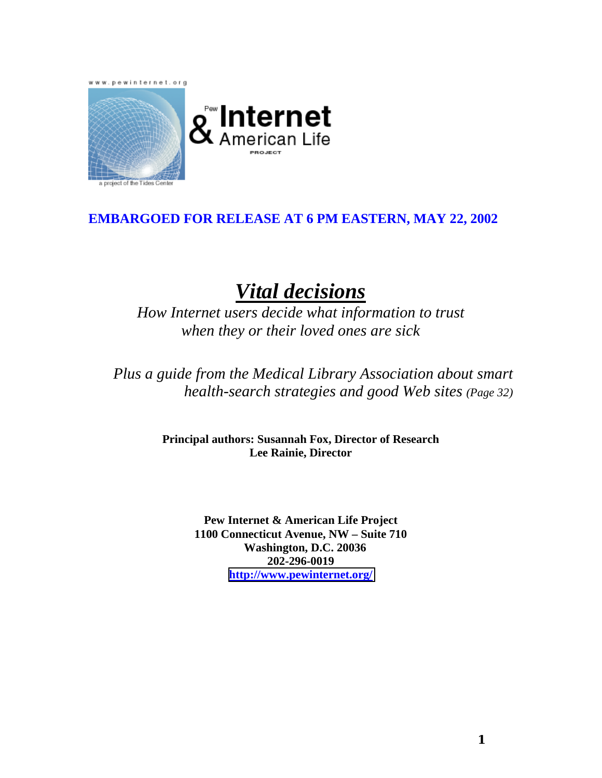www.pewinternet.org





## **EMBARGOED FOR RELEASE AT 6 PM EASTERN, MAY 22, 2002**

# *Vital decisions*

*How Internet users decide what information to trust when they or their loved ones are sick* 

*Plus a guide from the Medical Library Association about smart health-search strategies and good Web sites (Page 32)* 

> **Principal authors: Susannah Fox, Director of Research Lee Rainie, Director**

> > **Pew Internet & American Life Project 1100 Connecticut Avenue, NW – Suite 710 Washington, D.C. 20036 202-296-0019 <http://www.pewinternet.org/>**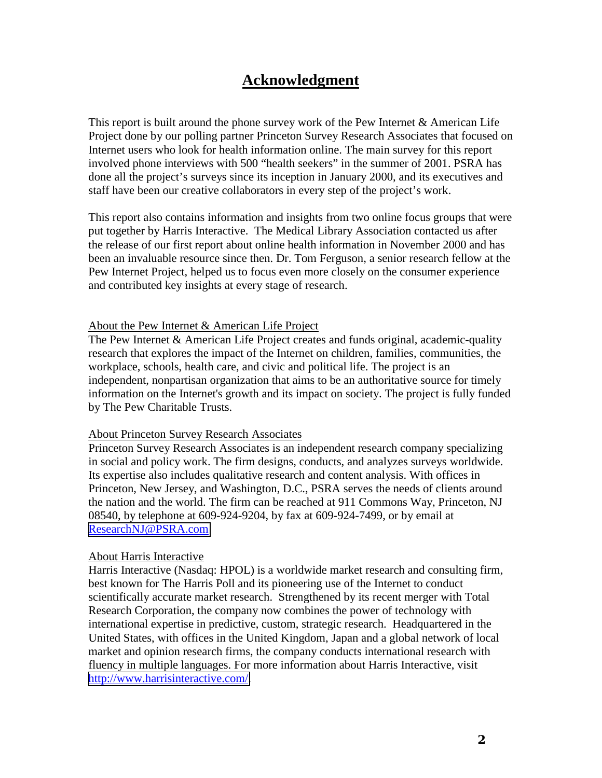## **Acknowledgment**

This report is built around the phone survey work of the Pew Internet & American Life Project done by our polling partner Princeton Survey Research Associates that focused on Internet users who look for health information online. The main survey for this report involved phone interviews with 500 "health seekers" in the summer of 2001. PSRA has done all the project's surveys since its inception in January 2000, and its executives and staff have been our creative collaborators in every step of the project's work.

This report also contains information and insights from two online focus groups that were put together by Harris Interactive. The Medical Library Association contacted us after the release of our first report about online health information in November 2000 and has been an invaluable resource since then. Dr. Tom Ferguson, a senior research fellow at the Pew Internet Project, helped us to focus even more closely on the consumer experience and contributed key insights at every stage of research.

#### About the Pew Internet & American Life Project

The Pew Internet & American Life Project creates and funds original, academic-quality research that explores the impact of the Internet on children, families, communities, the workplace, schools, health care, and civic and political life. The project is an independent, nonpartisan organization that aims to be an authoritative source for timely information on the Internet's growth and its impact on society. The project is fully funded by The Pew Charitable Trusts.

#### About Princeton Survey Research Associates

Princeton Survey Research Associates is an independent research company specializing in social and policy work. The firm designs, conducts, and analyzes surveys worldwide. Its expertise also includes qualitative research and content analysis. With offices in Princeton, New Jersey, and Washington, D.C., PSRA serves the needs of clients around the nation and the world. The firm can be reached at 911 Commons Way, Princeton, NJ 08540, by telephone at 609-924-9204, by fax at 609-924-7499, or by email at [ResearchNJ@PSRA.com](mailto:ResearchNJ@PSRA.com) 

#### About Harris Interactive

Harris Interactive (Nasdaq: HPOL) is a worldwide market research and consulting firm, best known for The Harris Poll and its pioneering use of the Internet to conduct scientifically accurate market research. Strengthened by its recent merger with Total Research Corporation, the company now combines the power of technology with international expertise in predictive, custom, strategic research. Headquartered in the United States, with offices in the United Kingdom, Japan and a global network of local market and opinion research firms, the company conducts international research with fluency in multiple languages. For more information about Harris Interactive, visit [http://www.harrisinteractive.com/.](http://www.harrisinteractive.com/)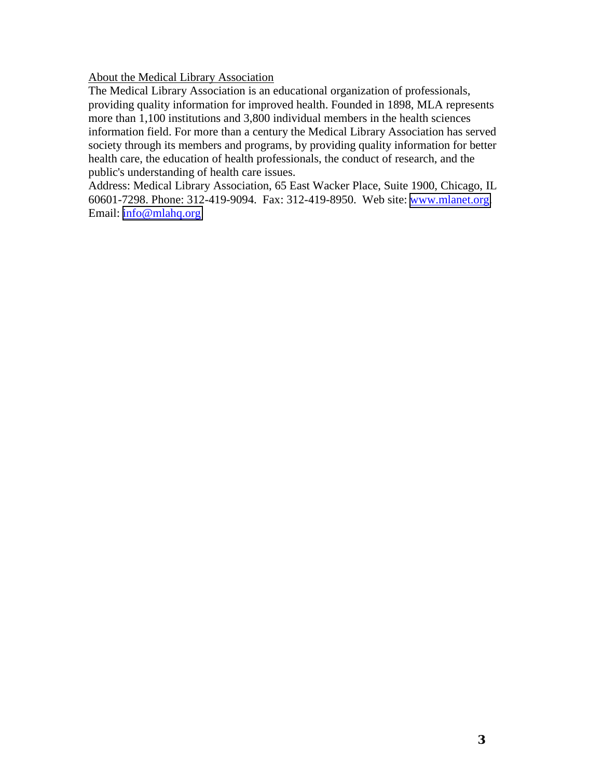#### About the Medical Library Association

The Medical Library Association is an educational organization of professionals, providing quality information for improved health. Founded in 1898, MLA represents more than 1,100 institutions and 3,800 individual members in the health sciences information field. For more than a century the Medical Library Association has served society through its members and programs, by providing quality information for better health care, the education of health professionals, the conduct of research, and the public's understanding of health care issues.

Address: Medical Library Association, 65 East Wacker Place, Suite 1900, Chicago, IL 60601-7298. Phone: 312-419-9094. Fax: 312-419-8950. Web site: [www.mlanet.org.](http://www.mlanet.org/) Email: [info@mlahq.org](mailto:info@mlahq.org)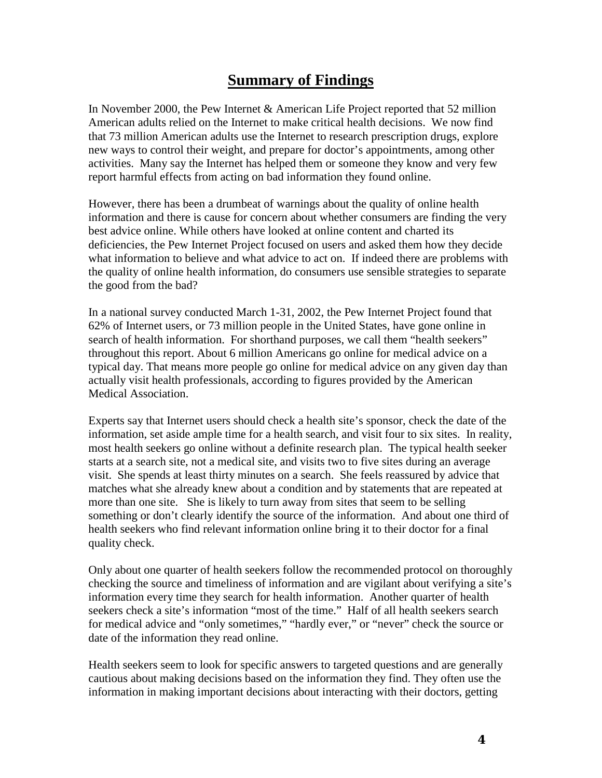## **Summary of Findings**

In November 2000, the Pew Internet & American Life Project reported that 52 million American adults relied on the Internet to make critical health decisions. We now find that 73 million American adults use the Internet to research prescription drugs, explore new ways to control their weight, and prepare for doctor's appointments, among other activities. Many say the Internet has helped them or someone they know and very few report harmful effects from acting on bad information they found online.

However, there has been a drumbeat of warnings about the quality of online health information and there is cause for concern about whether consumers are finding the very best advice online. While others have looked at online content and charted its deficiencies, the Pew Internet Project focused on users and asked them how they decide what information to believe and what advice to act on. If indeed there are problems with the quality of online health information, do consumers use sensible strategies to separate the good from the bad?

In a national survey conducted March 1-31, 2002, the Pew Internet Project found that 62% of Internet users, or 73 million people in the United States, have gone online in search of health information. For shorthand purposes, we call them "health seekers" throughout this report. About 6 million Americans go online for medical advice on a typical day. That means more people go online for medical advice on any given day than actually visit health professionals, according to figures provided by the American Medical Association.

Experts say that Internet users should check a health site's sponsor, check the date of the information, set aside ample time for a health search, and visit four to six sites. In reality, most health seekers go online without a definite research plan. The typical health seeker starts at a search site, not a medical site, and visits two to five sites during an average visit. She spends at least thirty minutes on a search. She feels reassured by advice that matches what she already knew about a condition and by statements that are repeated at more than one site. She is likely to turn away from sites that seem to be selling something or don't clearly identify the source of the information. And about one third of health seekers who find relevant information online bring it to their doctor for a final quality check.

Only about one quarter of health seekers follow the recommended protocol on thoroughly checking the source and timeliness of information and are vigilant about verifying a site's information every time they search for health information. Another quarter of health seekers check a site's information "most of the time." Half of all health seekers search for medical advice and "only sometimes," "hardly ever," or "never" check the source or date of the information they read online.

Health seekers seem to look for specific answers to targeted questions and are generally cautious about making decisions based on the information they find. They often use the information in making important decisions about interacting with their doctors, getting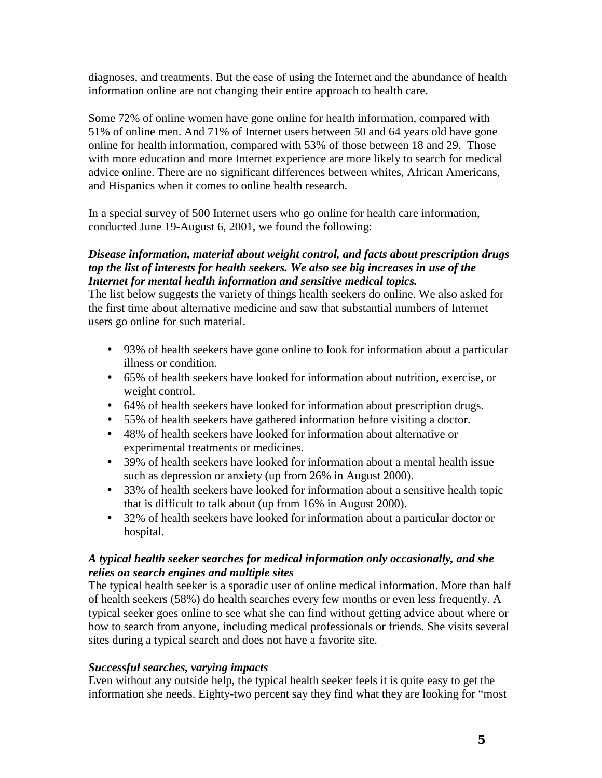diagnoses, and treatments. But the ease of using the Internet and the abundance of health information online are not changing their entire approach to health care.

Some 72% of online women have gone online for health information, compared with 51% of online men. And 71% of Internet users between 50 and 64 years old have gone online for health information, compared with 53% of those between 18 and 29. Those with more education and more Internet experience are more likely to search for medical advice online. There are no significant differences between whites, African Americans, and Hispanics when it comes to online health research.

In a special survey of 500 Internet users who go online for health care information, conducted June 19-August 6, 2001, we found the following:

#### *Disease information, material about weight control, and facts about prescription drugs top the list of interests for health seekers. We also see big increases in use of the Internet for mental health information and sensitive medical topics.*

The list below suggests the variety of things health seekers do online. We also asked for the first time about alternative medicine and saw that substantial numbers of Internet users go online for such material.

- 93% of health seekers have gone online to look for information about a particular illness or condition.
- 65% of health seekers have looked for information about nutrition, exercise, or weight control.
- 64% of health seekers have looked for information about prescription drugs.
- 55% of health seekers have gathered information before visiting a doctor.
- 48% of health seekers have looked for information about alternative or experimental treatments or medicines.
- 39% of health seekers have looked for information about a mental health issue such as depression or anxiety (up from 26% in August 2000).
- 33% of health seekers have looked for information about a sensitive health topic that is difficult to talk about (up from 16% in August 2000).
- 32% of health seekers have looked for information about a particular doctor or hospital.

## *A typical health seeker searches for medical information only occasionally, and she relies on search engines and multiple sites*

The typical health seeker is a sporadic user of online medical information. More than half of health seekers (58%) do health searches every few months or even less frequently. A typical seeker goes online to see what she can find without getting advice about where or how to search from anyone, including medical professionals or friends. She visits several sites during a typical search and does not have a favorite site.

### *Successful searches, varying impacts*

Even without any outside help, the typical health seeker feels it is quite easy to get the information she needs. Eighty-two percent say they find what they are looking for "most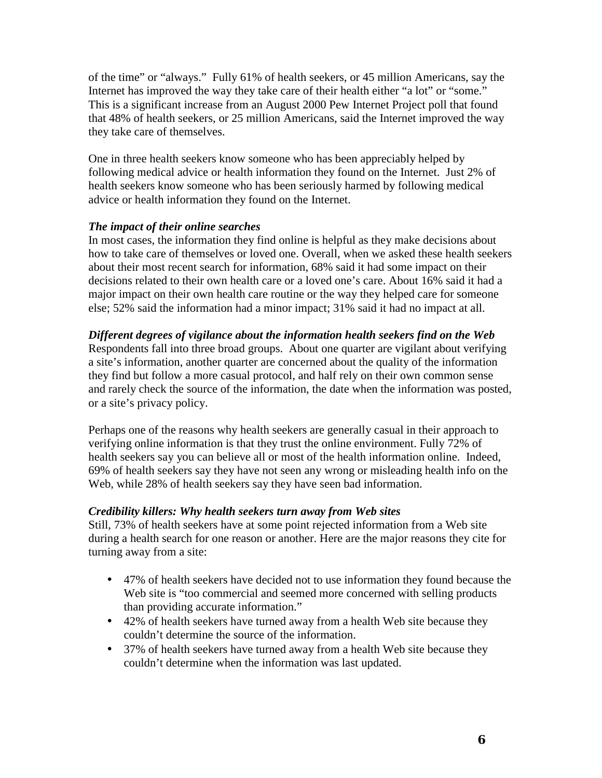of the time" or "always." Fully 61% of health seekers, or 45 million Americans, say the Internet has improved the way they take care of their health either "a lot" or "some." This is a significant increase from an August 2000 Pew Internet Project poll that found that 48% of health seekers, or 25 million Americans, said the Internet improved the way they take care of themselves.

One in three health seekers know someone who has been appreciably helped by following medical advice or health information they found on the Internet. Just 2% of health seekers know someone who has been seriously harmed by following medical advice or health information they found on the Internet.

#### *The impact of their online searches*

In most cases, the information they find online is helpful as they make decisions about how to take care of themselves or loved one. Overall, when we asked these health seekers about their most recent search for information, 68% said it had some impact on their decisions related to their own health care or a loved one's care. About 16% said it had a major impact on their own health care routine or the way they helped care for someone else; 52% said the information had a minor impact; 31% said it had no impact at all.

### *Different degrees of vigilance about the information health seekers find on the Web*

Respondents fall into three broad groups. About one quarter are vigilant about verifying a site's information, another quarter are concerned about the quality of the information they find but follow a more casual protocol, and half rely on their own common sense and rarely check the source of the information, the date when the information was posted, or a site's privacy policy.

Perhaps one of the reasons why health seekers are generally casual in their approach to verifying online information is that they trust the online environment. Fully 72% of health seekers say you can believe all or most of the health information online. Indeed, 69% of health seekers say they have not seen any wrong or misleading health info on the Web, while 28% of health seekers say they have seen bad information.

### *Credibility killers: Why health seekers turn away from Web sites*

Still, 73% of health seekers have at some point rejected information from a Web site during a health search for one reason or another. Here are the major reasons they cite for turning away from a site:

- 47% of health seekers have decided not to use information they found because the Web site is "too commercial and seemed more concerned with selling products" than providing accurate information."
- 42% of health seekers have turned away from a health Web site because they couldn't determine the source of the information.
- 37% of health seekers have turned away from a health Web site because they couldn't determine when the information was last updated.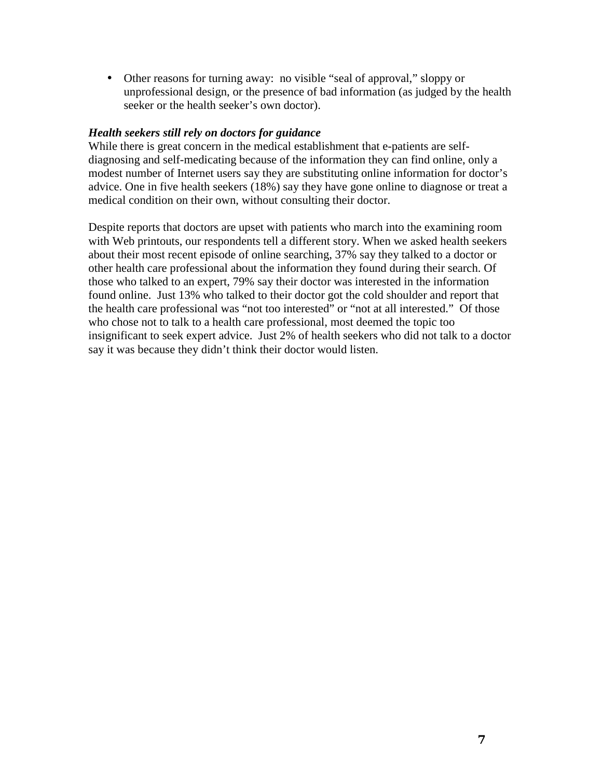• Other reasons for turning away: no visible "seal of approval," sloppy or unprofessional design, or the presence of bad information (as judged by the health seeker or the health seeker's own doctor).

#### *Health seekers still rely on doctors for guidance*

While there is great concern in the medical establishment that e-patients are selfdiagnosing and self-medicating because of the information they can find online, only a modest number of Internet users say they are substituting online information for doctor's advice. One in five health seekers (18%) say they have gone online to diagnose or treat a medical condition on their own, without consulting their doctor.

Despite reports that doctors are upset with patients who march into the examining room with Web printouts, our respondents tell a different story. When we asked health seekers about their most recent episode of online searching, 37% say they talked to a doctor or other health care professional about the information they found during their search. Of those who talked to an expert, 79% say their doctor was interested in the information found online. Just 13% who talked to their doctor got the cold shoulder and report that the health care professional was "not too interested" or "not at all interested." Of those who chose not to talk to a health care professional, most deemed the topic too insignificant to seek expert advice. Just 2% of health seekers who did not talk to a doctor say it was because they didn't think their doctor would listen.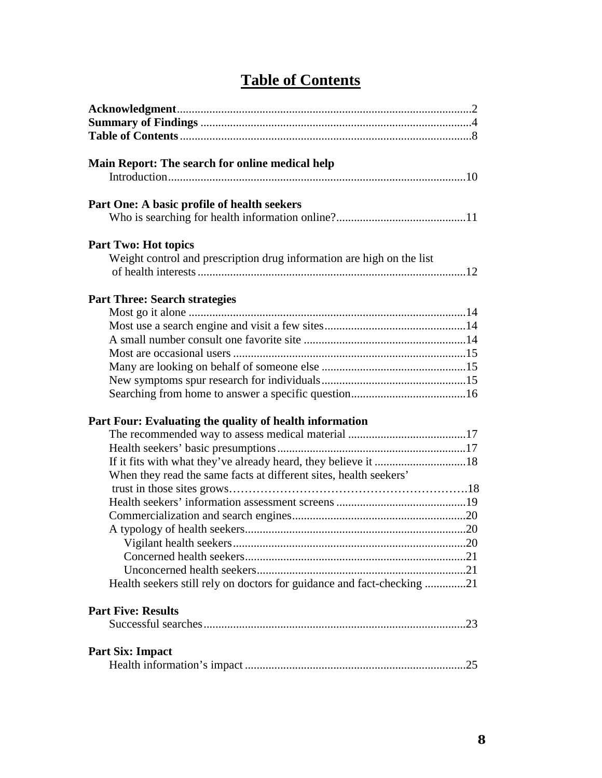|  |  |  | <b>Table of Contents</b> |
|--|--|--|--------------------------|
|--|--|--|--------------------------|

| Main Report: The search for online medical help                                                                                              |
|----------------------------------------------------------------------------------------------------------------------------------------------|
| Part One: A basic profile of health seekers                                                                                                  |
| <b>Part Two: Hot topics</b><br>Weight control and prescription drug information are high on the list<br><b>Part Three: Search strategies</b> |
|                                                                                                                                              |
|                                                                                                                                              |
|                                                                                                                                              |
|                                                                                                                                              |
|                                                                                                                                              |
|                                                                                                                                              |
|                                                                                                                                              |
| Part Four: Evaluating the quality of health information                                                                                      |
|                                                                                                                                              |
|                                                                                                                                              |
| When they read the same facts at different sites, health seekers'                                                                            |
|                                                                                                                                              |
|                                                                                                                                              |
|                                                                                                                                              |
|                                                                                                                                              |
|                                                                                                                                              |
|                                                                                                                                              |
| Health seekers still rely on doctors for guidance and fact-checking 21                                                                       |
| <b>Part Five: Results</b>                                                                                                                    |
|                                                                                                                                              |
| <b>Part Six: Impact</b>                                                                                                                      |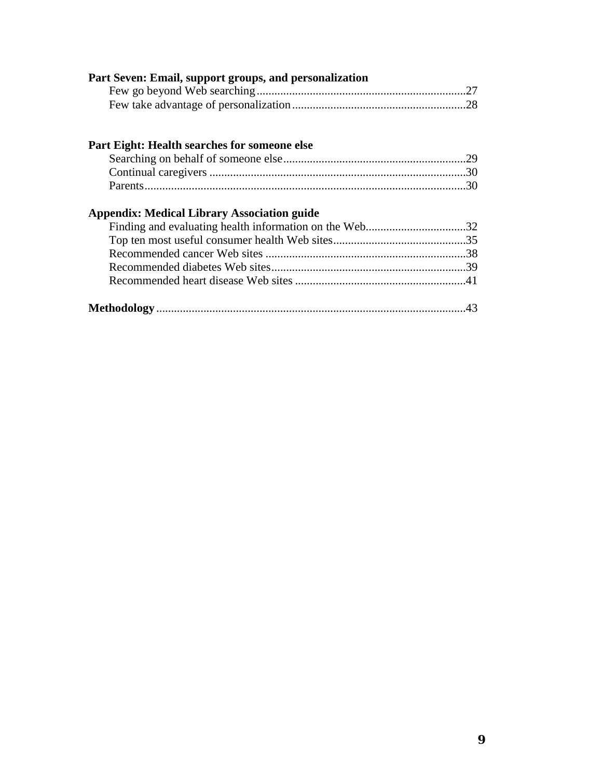| Part Seven: Email, support groups, and personalization |     |
|--------------------------------------------------------|-----|
|                                                        |     |
|                                                        | .28 |
| <b>Part Eight: Health searches for someone else</b>    |     |
|                                                        | .29 |
|                                                        |     |
|                                                        |     |
| <b>Appendix: Medical Library Association guide</b>     |     |
|                                                        |     |
|                                                        |     |
|                                                        |     |
|                                                        |     |
|                                                        |     |
|                                                        |     |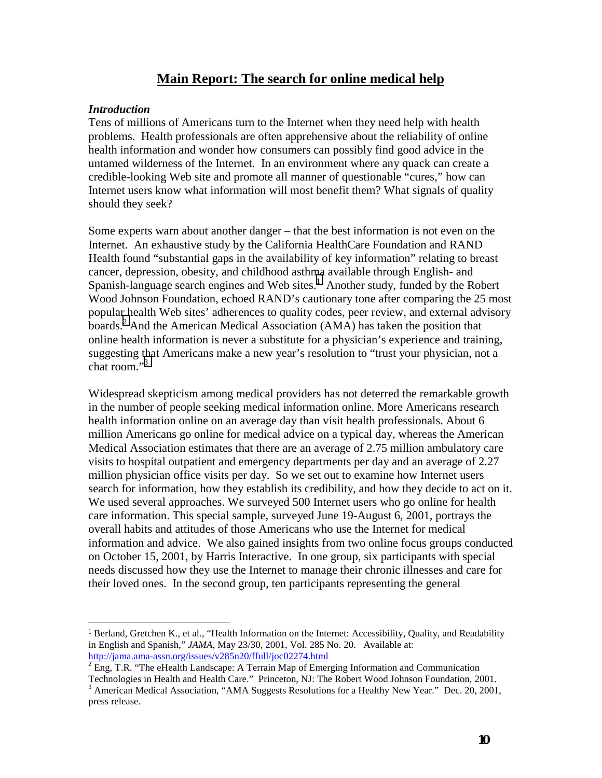## **Main Report: The search for online medical help**

#### *Introduction*

 $\overline{a}$ 

Tens of millions of Americans turn to the Internet when they need help with health problems. Health professionals are often apprehensive about the reliability of online health information and wonder how consumers can possibly find good advice in the untamed wilderness of the Internet. In an environment where any quack can create a credible-looking Web site and promote all manner of questionable "cures," how can Internet users know what information will most benefit them? What signals of quality should they seek?

Some experts warn about another danger – that the best information is not even on the Internet. An exhaustive study by the California HealthCare Foundation and RAND Health found "substantial gaps in the availability of key information" relating to breast cancer, depression, obesity, and childhood asthma available through English- and Spanish-language search engines and Web sites.<sup>1</sup> Another study, funded by the Robert Wood Johnson Foundation, echoed RAND's cautionary tone after comparing the 25 most popular health Web sites' adherences to quality codes, peer review, and external advisory boards.<sup>2</sup> And the American Medical Association (AMA) has taken the position that online health information is never a substitute for a physician's experience and training, suggesting that Americans make a new year's resolution to "trust your physician, not a chat room." $3$ 

Widespread skepticism among medical providers has not deterred the remarkable growth in the number of people seeking medical information online. More Americans research health information online on an average day than visit health professionals. About 6 million Americans go online for medical advice on a typical day, whereas the American Medical Association estimates that there are an average of 2.75 million ambulatory care visits to hospital outpatient and emergency departments per day and an average of 2.27 million physician office visits per day. So we set out to examine how Internet users search for information, how they establish its credibility, and how they decide to act on it. We used several approaches. We surveyed 500 Internet users who go online for health care information. This special sample, surveyed June 19-August 6, 2001, portrays the overall habits and attitudes of those Americans who use the Internet for medical information and advice. We also gained insights from two online focus groups conducted on October 15, 2001, by Harris Interactive. In one group, six participants with special needs discussed how they use the Internet to manage their chronic illnesses and care for their loved ones. In the second group, ten participants representing the general

<sup>&</sup>lt;sup>1</sup> Berland, Gretchen K., et al., "Health Information on the Internet: Accessibility, Quality, and Readability in English and Spanish," *JAMA*, May 23/30, 2001, Vol. 285 No. 20. Available at: http://jama.ama-assn.org/issues/v285n20/ffull/joc02274.html

 $2^{2}$  Eng, T.R. "The eHealth Landscape: A Terrain Map of Emerging Information and Communication

Technologies in Health and Health Care." Princeton, NJ: The Robert Wood Johnson Foundation, 2001.<br><sup>3</sup> American Medical Association, "AMA Suggests Resolutions for a Healthy New Year." Dec. 20, 2001, press release.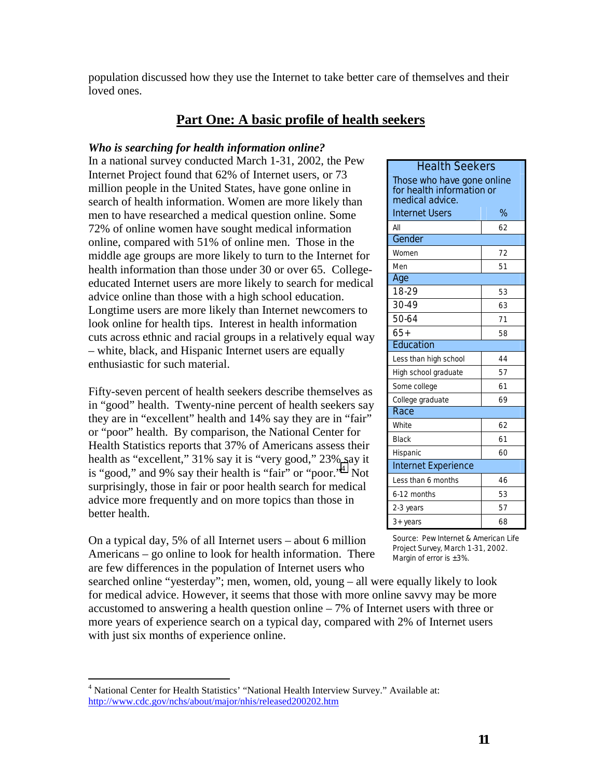population discussed how they use the Internet to take better care of themselves and their loved ones.

## **Part One: A basic profile of health seekers**

#### *Who is searching for health information online?*

In a national survey conducted March 1-31, 2002, the Pew Internet Project found that 62% of Internet users, or 73 million people in the United States, have gone online in search of health information. Women are more likely than men to have researched a medical question online. Some 72% of online women have sought medical information online, compared with 51% of online men. Those in the middle age groups are more likely to turn to the Internet for health information than those under 30 or over 65. Collegeeducated Internet users are more likely to search for medical advice online than those with a high school education. Longtime users are more likely than Internet newcomers to look online for health tips. Interest in health information cuts across ethnic and racial groups in a relatively equal way – white, black, and Hispanic Internet users are equally enthusiastic for such material.

Fifty-seven percent of health seekers describe themselves as in "good" health. Twenty-nine percent of health seekers say they are in "excellent" health and 14% say they are in "fair" or "poor" health. By comparison, the National Center for Health Statistics reports that 37% of Americans assess their health as "excellent," 31% say it is "very good," 23% say it is "good," and 9% say their health is "fair" or "poor."<sup>4</sup> Not surprisingly, those in fair or poor health search for medical advice more frequently and on more topics than those in better health.

On a typical day, 5% of all Internet users – about 6 million Americans – go online to look for health information. There are few differences in the population of Internet users who

1

searched online "yesterday"; men, women, old, young – all were equally likely to look for medical advice. However, it seems that those with more online savvy may be more accustomed to answering a health question online – 7% of Internet users with three or more years of experience search on a typical day, compared with 2% of Internet users with just six months of experience online.

| <b>Health Seekers</b>                                                      |    |  |
|----------------------------------------------------------------------------|----|--|
| Those who have gone online<br>for health information or<br>medical advice. |    |  |
| <b>Internet Users</b>                                                      | %  |  |
| All                                                                        | 62 |  |
| Gender                                                                     |    |  |
| Women                                                                      | 72 |  |
| Men                                                                        | 51 |  |
| Age                                                                        |    |  |
| 18-29                                                                      | 53 |  |
| 30-49                                                                      | 63 |  |
| 50-64                                                                      | 71 |  |
| $65+$                                                                      | 58 |  |
| Education                                                                  |    |  |
| Less than high school                                                      | 44 |  |
| High school graduate                                                       | 57 |  |
| Some college                                                               | 61 |  |
| College graduate                                                           | 69 |  |
| Race                                                                       |    |  |
| White                                                                      | 62 |  |
| <b>Black</b>                                                               | 61 |  |
| Hispanic                                                                   | 60 |  |
| <b>Internet Experience</b>                                                 |    |  |
| Less than 6 months                                                         | 46 |  |
| 6-12 months                                                                | 53 |  |
| 2-3 years                                                                  | 57 |  |
| 3+ years                                                                   | 68 |  |

*Source: Pew Internet & American Life Project Survey, March 1-31, 2002. Margin of error is ±3%.*

<sup>&</sup>lt;sup>4</sup> National Center for Health Statistics' "National Health Interview Survey." Available at: http://www.cdc.gov/nchs/about/major/nhis/released200202.htm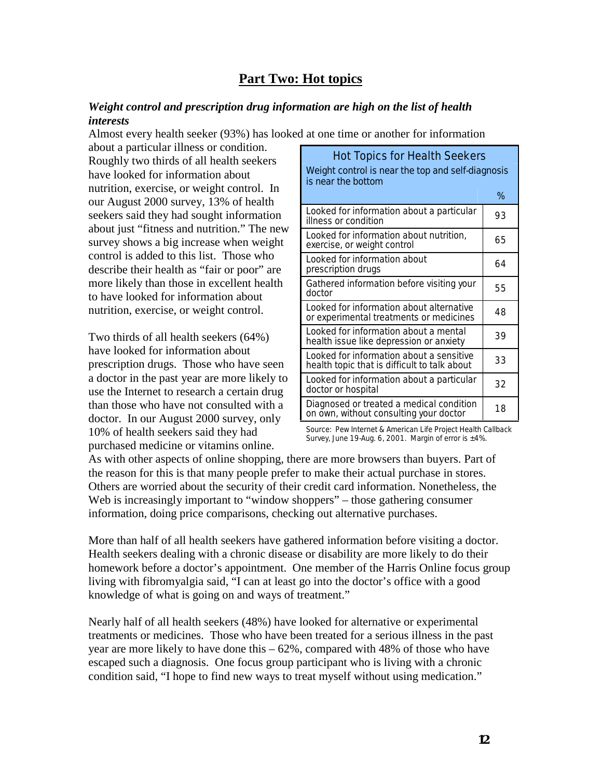## **Part Two: Hot topics**

#### *Weight control and prescription drug information are high on the list of health interests*

Almost every health seeker (93%) has looked at one time or another for information

about a particular illness or condition. Roughly two thirds of all health seekers have looked for information about nutrition, exercise, or weight control. In our August 2000 survey, 13% of health seekers said they had sought information about just "fitness and nutrition." The new survey shows a big increase when weight control is added to this list. Those who describe their health as "fair or poor" are more likely than those in excellent health to have looked for information about nutrition, exercise, or weight control.

Two thirds of all health seekers (64%) have looked for information about prescription drugs. Those who have seen a doctor in the past year are more likely to use the Internet to research a certain drug than those who have not consulted with a doctor. In our August 2000 survey, only 10% of health seekers said they had purchased medicine or vitamins online.

| <b>Hot Topics for Health Seekers</b><br>Weight control is near the top and self-diagnosis |    |  |
|-------------------------------------------------------------------------------------------|----|--|
| is near the bottom                                                                        |    |  |
|                                                                                           | %  |  |
| Looked for information about a particular<br>illness or condition                         | 93 |  |
| Looked for information about nutrition,<br>exercise, or weight control                    | 65 |  |
| Looked for information about<br>prescription drugs                                        | 64 |  |
| Gathered information before visiting your<br>doctor                                       | 55 |  |
| Looked for information about alternative<br>or experimental treatments or medicines       | 48 |  |
| Looked for information about a mental<br>health issue like depression or anxiety          | 39 |  |
| Looked for information about a sensitive<br>health topic that is difficult to talk about  | 33 |  |
| Looked for information about a particular<br>doctor or hospital                           | 32 |  |
| Diagnosed or treated a medical condition<br>on own, without consulting your doctor        | 18 |  |

*Source: Pew Internet & American Life Project Health Callback Survey, June 19-Aug. 6, 2001. Margin of error is ±4%.* 

As with other aspects of online shopping, there are more browsers than buyers. Part of the reason for this is that many people prefer to make their actual purchase in stores. Others are worried about the security of their credit card information. Nonetheless, the Web is increasingly important to "window shoppers" – those gathering consumer information, doing price comparisons, checking out alternative purchases.

More than half of all health seekers have gathered information before visiting a doctor. Health seekers dealing with a chronic disease or disability are more likely to do their homework before a doctor's appointment. One member of the Harris Online focus group living with fibromyalgia said, "I can at least go into the doctor's office with a good knowledge of what is going on and ways of treatment."

Nearly half of all health seekers (48%) have looked for alternative or experimental treatments or medicines. Those who have been treated for a serious illness in the past year are more likely to have done this – 62%, compared with 48% of those who have escaped such a diagnosis. One focus group participant who is living with a chronic condition said, "I hope to find new ways to treat myself without using medication."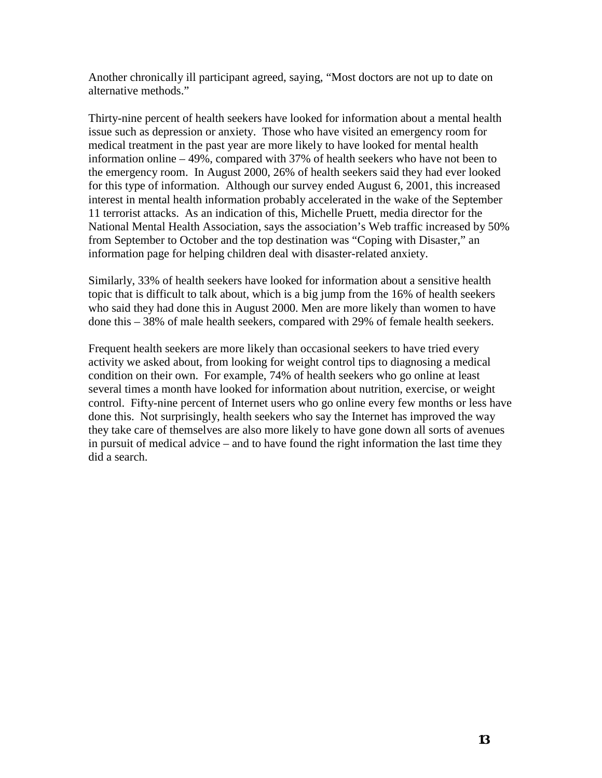Another chronically ill participant agreed, saying, "Most doctors are not up to date on alternative methods."

Thirty-nine percent of health seekers have looked for information about a mental health issue such as depression or anxiety. Those who have visited an emergency room for medical treatment in the past year are more likely to have looked for mental health information online – 49%, compared with 37% of health seekers who have not been to the emergency room. In August 2000, 26% of health seekers said they had ever looked for this type of information. Although our survey ended August 6, 2001, this increased interest in mental health information probably accelerated in the wake of the September 11 terrorist attacks. As an indication of this, Michelle Pruett, media director for the National Mental Health Association, says the association's Web traffic increased by 50% from September to October and the top destination was "Coping with Disaster," an information page for helping children deal with disaster-related anxiety.

Similarly, 33% of health seekers have looked for information about a sensitive health topic that is difficult to talk about, which is a big jump from the 16% of health seekers who said they had done this in August 2000. Men are more likely than women to have done this – 38% of male health seekers, compared with 29% of female health seekers.

Frequent health seekers are more likely than occasional seekers to have tried every activity we asked about, from looking for weight control tips to diagnosing a medical condition on their own. For example, 74% of health seekers who go online at least several times a month have looked for information about nutrition, exercise, or weight control. Fifty-nine percent of Internet users who go online every few months or less have done this. Not surprisingly, health seekers who say the Internet has improved the way they take care of themselves are also more likely to have gone down all sorts of avenues in pursuit of medical advice – and to have found the right information the last time they did a search.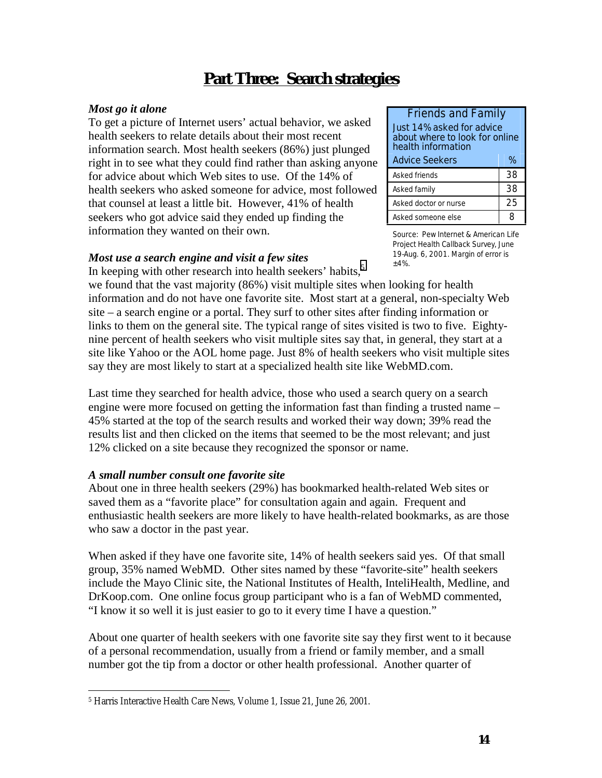## **Part Three: Search strategies**

#### *Most go it alone*

To get a picture of Internet users' actual behavior, we asked health seekers to relate details about their most recent information search. Most health seekers (86%) just plunged right in to see what they could find rather than asking anyone for advice about which Web sites to use. Of the 14% of health seekers who asked someone for advice, most followed that counsel at least a little bit. However, 41% of health seekers who got advice said they ended up finding the information they wanted on their own.

#### *Most use a search engine and visit a few sites*

In keeping with other research into health seekers' habits,<sup>5</sup>

we found that the vast majority (86%) visit multiple sites when looking for health information and do not have one favorite site. Most start at a general, non-specialty Web site – a search engine or a portal. They surf to other sites after finding information or links to them on the general site. The typical range of sites visited is two to five. Eightynine percent of health seekers who visit multiple sites say that, in general, they start at a site like Yahoo or the AOL home page. Just 8% of health seekers who visit multiple sites say they are most likely to start at a specialized health site like WebMD.com.

Last time they searched for health advice, those who used a search query on a search engine were more focused on getting the information fast than finding a trusted name – 45% started at the top of the search results and worked their way down; 39% read the results list and then clicked on the items that seemed to be the most relevant; and just 12% clicked on a site because they recognized the sponsor or name.

#### *A small number consult one favorite site*

About one in three health seekers (29%) has bookmarked health-related Web sites or saved them as a "favorite place" for consultation again and again. Frequent and enthusiastic health seekers are more likely to have health-related bookmarks, as are those who saw a doctor in the past year.

When asked if they have one favorite site, 14% of health seekers said yes. Of that small group, 35% named WebMD. Other sites named by these "favorite-site" health seekers include the Mayo Clinic site, the National Institutes of Health, InteliHealth, Medline, and DrKoop.com. One online focus group participant who is a fan of WebMD commented, "I know it so well it is just easier to go to it every time I have a question."

About one quarter of health seekers with one favorite site say they first went to it because of a personal recommendation, usually from a friend or family member, and a small number got the tip from a doctor or other health professional. Another quarter of

| <b>Friends and Family</b><br>Just 14% asked for advice<br>about where to look for online<br>health information |    |
|----------------------------------------------------------------------------------------------------------------|----|
| <b>Advice Seekers</b>                                                                                          | %  |
| Asked friends                                                                                                  | 38 |
| Asked family                                                                                                   | 38 |
| Asked doctor or nurse                                                                                          | 25 |
| Asked someone else                                                                                             |    |

*Source: Pew Internet & American Life Project Health Callback Survey, June 19-Aug. 6, 2001. Margin of error is ±4%.*

 $\overline{a}$ 5 Harris Interactive Health Care News, Volume 1, Issue 21, June 26, 2001.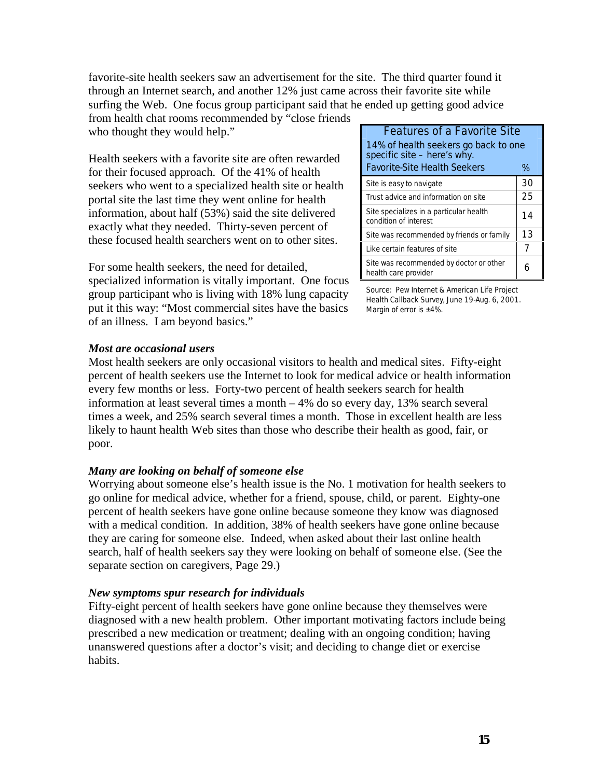favorite-site health seekers saw an advertisement for the site. The third quarter found it through an Internet search, and another 12% just came across their favorite site while surfing the Web. One focus group participant said that he ended up getting good advice

from health chat rooms recommended by "close friends who thought they would help."

Health seekers with a favorite site are often rewarded for their focused approach. Of the 41% of health seekers who went to a specialized health site or health portal site the last time they went online for health information, about half (53%) said the site delivered exactly what they needed. Thirty-seven percent of these focused health searchers went on to other sites.

For some health seekers, the need for detailed,

specialized information is vitally important. One focus group participant who is living with 18% lung capacity put it this way: "Most commercial sites have the basics of an illness. I am beyond basics."

| <b>Features of a Favorite Site</b><br>14% of health seekers go back to one<br>specific site $-$ here's why.<br><i><b>Favorite-Site Health Seekers</b></i> |    |
|-----------------------------------------------------------------------------------------------------------------------------------------------------------|----|
| Site is easy to navigate                                                                                                                                  | 30 |
| Trust advice and information on site                                                                                                                      | 25 |
| Site specializes in a particular health<br>condition of interest                                                                                          | 14 |
| Site was recommended by friends or family                                                                                                                 | 13 |
| Like certain features of site                                                                                                                             | 7  |
| Site was recommended by doctor or other<br>health care provider                                                                                           | 6  |

*Source: Pew Internet & American Life Project Health Callback Survey, June 19-Aug. 6, 2001. Margin of error is ±4%.*

#### *Most are occasional users*

Most health seekers are only occasional visitors to health and medical sites. Fifty-eight percent of health seekers use the Internet to look for medical advice or health information every few months or less. Forty-two percent of health seekers search for health information at least several times a month – 4% do so every day, 13% search several times a week, and 25% search several times a month. Those in excellent health are less likely to haunt health Web sites than those who describe their health as good, fair, or poor.

#### *Many are looking on behalf of someone else*

Worrying about someone else's health issue is the No. 1 motivation for health seekers to go online for medical advice, whether for a friend, spouse, child, or parent. Eighty-one percent of health seekers have gone online because someone they know was diagnosed with a medical condition. In addition, 38% of health seekers have gone online because they are caring for someone else. Indeed, when asked about their last online health search, half of health seekers say they were looking on behalf of someone else. (See the separate section on caregivers, Page 29.)

#### *New symptoms spur research for individuals*

Fifty-eight percent of health seekers have gone online because they themselves were diagnosed with a new health problem. Other important motivating factors include being prescribed a new medication or treatment; dealing with an ongoing condition; having unanswered questions after a doctor's visit; and deciding to change diet or exercise habits.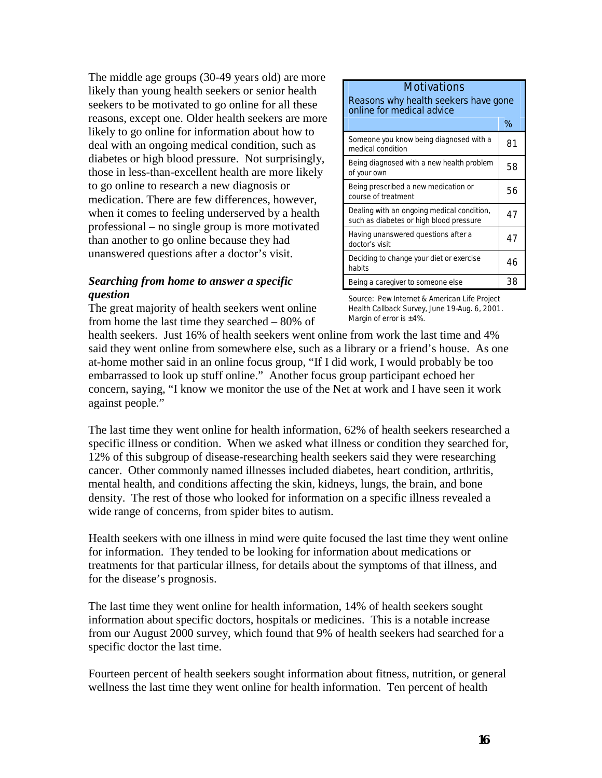The middle age groups (30-49 years old) are more likely than young health seekers or senior health seekers to be motivated to go online for all these reasons, except one. Older health seekers are more likely to go online for information about how to deal with an ongoing medical condition, such as diabetes or high blood pressure. Not surprisingly, those in less-than-excellent health are more likely to go online to research a new diagnosis or medication. There are few differences, however, when it comes to feeling underserved by a health professional – no single group is more motivated than another to go online because they had unanswered questions after a doctor's visit.

### *Searching from home to answer a specific question*

The great majority of health seekers went online from home the last time they searched – 80% of

| <b>Motivations</b><br>Reasons why health seekers have gone<br>online for medical advice |    |
|-----------------------------------------------------------------------------------------|----|
|                                                                                         | %  |
| Someone you know being diagnosed with a<br>medical condition                            | 81 |
| Being diagnosed with a new health problem<br>of your own                                | 58 |
| Being prescribed a new medication or<br>course of treatment                             | 56 |
| Dealing with an ongoing medical condition,<br>such as diabetes or high blood pressure   | 47 |
| Having unanswered questions after a<br>doctor's visit                                   | 47 |
| Deciding to change your diet or exercise<br>habits                                      | 46 |
| Being a caregiver to someone else                                                       | 38 |

*Source: Pew Internet & American Life Project Health Callback Survey, June 19-Aug. 6, 2001. Margin of error is ±4%.*

health seekers. Just 16% of health seekers went online from work the last time and 4% said they went online from somewhere else, such as a library or a friend's house. As one at-home mother said in an online focus group, "If I did work, I would probably be too embarrassed to look up stuff online." Another focus group participant echoed her concern, saying, "I know we monitor the use of the Net at work and I have seen it work against people."

The last time they went online for health information, 62% of health seekers researched a specific illness or condition. When we asked what illness or condition they searched for, 12% of this subgroup of disease-researching health seekers said they were researching cancer. Other commonly named illnesses included diabetes, heart condition, arthritis, mental health, and conditions affecting the skin, kidneys, lungs, the brain, and bone density. The rest of those who looked for information on a specific illness revealed a wide range of concerns, from spider bites to autism.

Health seekers with one illness in mind were quite focused the last time they went online for information. They tended to be looking for information about medications or treatments for that particular illness, for details about the symptoms of that illness, and for the disease's prognosis.

The last time they went online for health information, 14% of health seekers sought information about specific doctors, hospitals or medicines. This is a notable increase from our August 2000 survey, which found that 9% of health seekers had searched for a specific doctor the last time.

Fourteen percent of health seekers sought information about fitness, nutrition, or general wellness the last time they went online for health information. Ten percent of health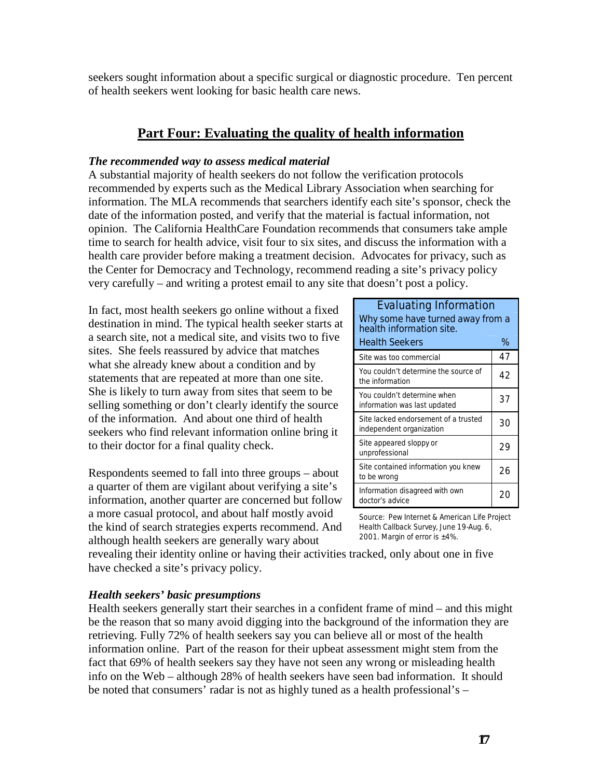seekers sought information about a specific surgical or diagnostic procedure. Ten percent of health seekers went looking for basic health care news.

## **Part Four: Evaluating the quality of health information**

#### *The recommended way to assess medical material*

A substantial majority of health seekers do not follow the verification protocols recommended by experts such as the Medical Library Association when searching for information. The MLA recommends that searchers identify each site's sponsor, check the date of the information posted, and verify that the material is factual information, not opinion. The California HealthCare Foundation recommends that consumers take ample time to search for health advice, visit four to six sites, and discuss the information with a health care provider before making a treatment decision. Advocates for privacy, such as the Center for Democracy and Technology, recommend reading a site's privacy policy very carefully – and writing a protest email to any site that doesn't post a policy.

In fact, most health seekers go online without a fixed destination in mind. The typical health seeker starts at a search site, not a medical site, and visits two to five sites. She feels reassured by advice that matches what she already knew about a condition and by statements that are repeated at more than one site. She is likely to turn away from sites that seem to be selling something or don't clearly identify the source of the information. And about one third of health seekers who find relevant information online bring it to their doctor for a final quality check.

Respondents seemed to fall into three groups – about a quarter of them are vigilant about verifying a site's information, another quarter are concerned but follow a more casual protocol, and about half mostly avoid the kind of search strategies experts recommend. And although health seekers are generally wary about

| <b>Evaluating Information</b>                                    |    |
|------------------------------------------------------------------|----|
| Why some have turned away from a<br>health information site.     |    |
| <b>Health Seekers</b>                                            | %  |
| Site was too commercial                                          | 47 |
| You couldn't determine the source of<br>the information          | 42 |
| You couldn't determine when<br>information was last updated      | 37 |
| Site lacked endorsement of a trusted<br>independent organization | 30 |
| Site appeared sloppy or<br>unprofessional                        | 29 |
| Site contained information you knew<br>to be wrong               | 26 |
| Information disagreed with own<br>doctor's advice                | 20 |

*Source: Pew Internet & American Life Project Health Callback Survey, June 19-Aug. 6, 2001. Margin of error is ±4%.*

revealing their identity online or having their activities tracked, only about one in five have checked a site's privacy policy.

### *Health seekers' basic presumptions*

Health seekers generally start their searches in a confident frame of mind – and this might be the reason that so many avoid digging into the background of the information they are retrieving. Fully 72% of health seekers say you can believe all or most of the health information online. Part of the reason for their upbeat assessment might stem from the fact that 69% of health seekers say they have not seen any wrong or misleading health info on the Web – although 28% of health seekers have seen bad information. It should be noted that consumers' radar is not as highly tuned as a health professional's –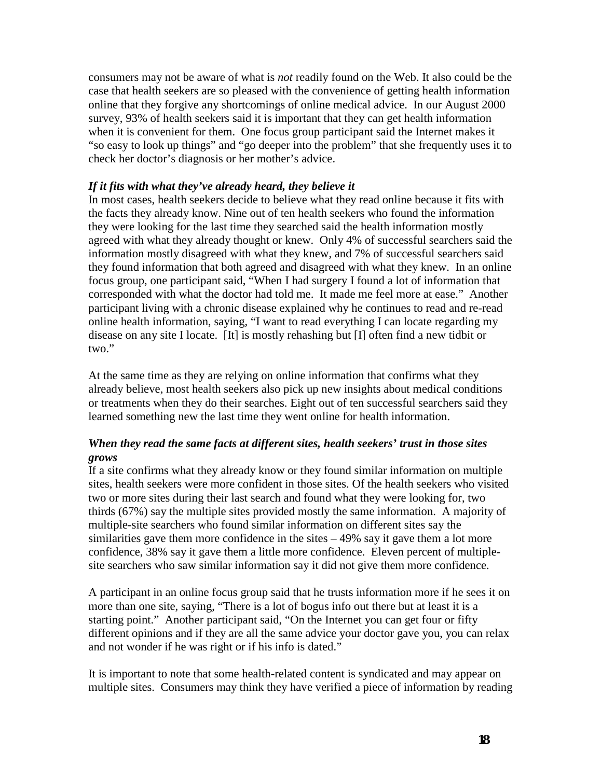consumers may not be aware of what is *not* readily found on the Web. It also could be the case that health seekers are so pleased with the convenience of getting health information online that they forgive any shortcomings of online medical advice. In our August 2000 survey, 93% of health seekers said it is important that they can get health information when it is convenient for them. One focus group participant said the Internet makes it "so easy to look up things" and "go deeper into the problem" that she frequently uses it to check her doctor's diagnosis or her mother's advice.

#### *If it fits with what they've already heard, they believe it*

In most cases, health seekers decide to believe what they read online because it fits with the facts they already know. Nine out of ten health seekers who found the information they were looking for the last time they searched said the health information mostly agreed with what they already thought or knew. Only 4% of successful searchers said the information mostly disagreed with what they knew, and 7% of successful searchers said they found information that both agreed and disagreed with what they knew. In an online focus group, one participant said, "When I had surgery I found a lot of information that corresponded with what the doctor had told me. It made me feel more at ease." Another participant living with a chronic disease explained why he continues to read and re-read online health information, saying, "I want to read everything I can locate regarding my disease on any site I locate. [It] is mostly rehashing but [I] often find a new tidbit or two."

At the same time as they are relying on online information that confirms what they already believe, most health seekers also pick up new insights about medical conditions or treatments when they do their searches. Eight out of ten successful searchers said they learned something new the last time they went online for health information.

## *When they read the same facts at different sites, health seekers' trust in those sites grows*

If a site confirms what they already know or they found similar information on multiple sites, health seekers were more confident in those sites. Of the health seekers who visited two or more sites during their last search and found what they were looking for, two thirds (67%) say the multiple sites provided mostly the same information. A majority of multiple-site searchers who found similar information on different sites say the similarities gave them more confidence in the sites – 49% say it gave them a lot more confidence, 38% say it gave them a little more confidence. Eleven percent of multiplesite searchers who saw similar information say it did not give them more confidence.

A participant in an online focus group said that he trusts information more if he sees it on more than one site, saying, "There is a lot of bogus info out there but at least it is a starting point." Another participant said, "On the Internet you can get four or fifty different opinions and if they are all the same advice your doctor gave you, you can relax and not wonder if he was right or if his info is dated."

It is important to note that some health-related content is syndicated and may appear on multiple sites. Consumers may think they have verified a piece of information by reading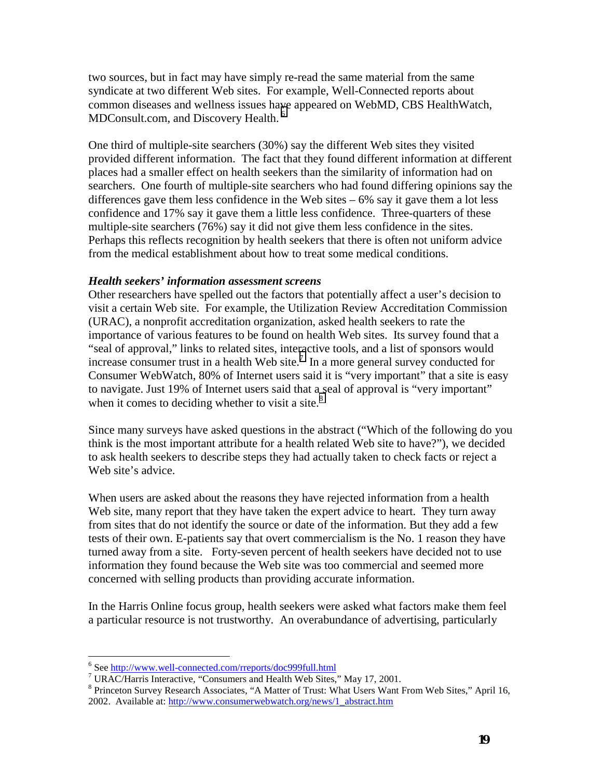two sources, but in fact may have simply re-read the same material from the same syndicate at two different Web sites. For example, Well-Connected reports about common diseases and wellness issues have appeared on WebMD, CBS HealthWatch, MDConsult.com, and Discovery Health.<sup>6</sup>

One third of multiple-site searchers (30%) say the different Web sites they visited provided different information. The fact that they found different information at different places had a smaller effect on health seekers than the similarity of information had on searchers. One fourth of multiple-site searchers who had found differing opinions say the differences gave them less confidence in the Web sites  $-6\%$  say it gave them a lot less confidence and 17% say it gave them a little less confidence. Three-quarters of these multiple-site searchers (76%) say it did not give them less confidence in the sites. Perhaps this reflects recognition by health seekers that there is often not uniform advice from the medical establishment about how to treat some medical conditions.

#### *Health seekers' information assessment screens*

Other researchers have spelled out the factors that potentially affect a user's decision to visit a certain Web site. For example, the Utilization Review Accreditation Commission (URAC), a nonprofit accreditation organization, asked health seekers to rate the importance of various features to be found on health Web sites. Its survey found that a "seal of approval," links to related sites, interactive tools, and a list of sponsors would increase consumer trust in a health Web site.<sup>7</sup> In a more general survey conducted for Consumer WebWatch, 80% of Internet users said it is "very important" that a site is easy to navigate. Just 19% of Internet users said that a seal of approval is "very important" when it comes to deciding whether to visit a site. $8$ 

Since many surveys have asked questions in the abstract ("Which of the following do you think is the most important attribute for a health related Web site to have?"), we decided to ask health seekers to describe steps they had actually taken to check facts or reject a Web site's advice.

When users are asked about the reasons they have rejected information from a health Web site, many report that they have taken the expert advice to heart. They turn away from sites that do not identify the source or date of the information. But they add a few tests of their own. E-patients say that overt commercialism is the No. 1 reason they have turned away from a site. Forty-seven percent of health seekers have decided not to use information they found because the Web site was too commercial and seemed more concerned with selling products than providing accurate information.

In the Harris Online focus group, health seekers were asked what factors make them feel a particular resource is not trustworthy. An overabundance of advertising, particularly

 $\frac{1}{6}$ 

<sup>&</sup>lt;sup>6</sup> See http://www.well-connected.com/rreports/doc999full.html<br><sup>7</sup> URAC/Harris Interactive, "Consumers and Health Web Sites," May 17, 2001.

<sup>&</sup>lt;sup>8</sup> Princeton Survey Research Associates, "A Matter of Trust: What Users Want From Web Sites," April 16, 2002. Available at: http://www.consumerwebwatch.org/news/1\_abstract.htm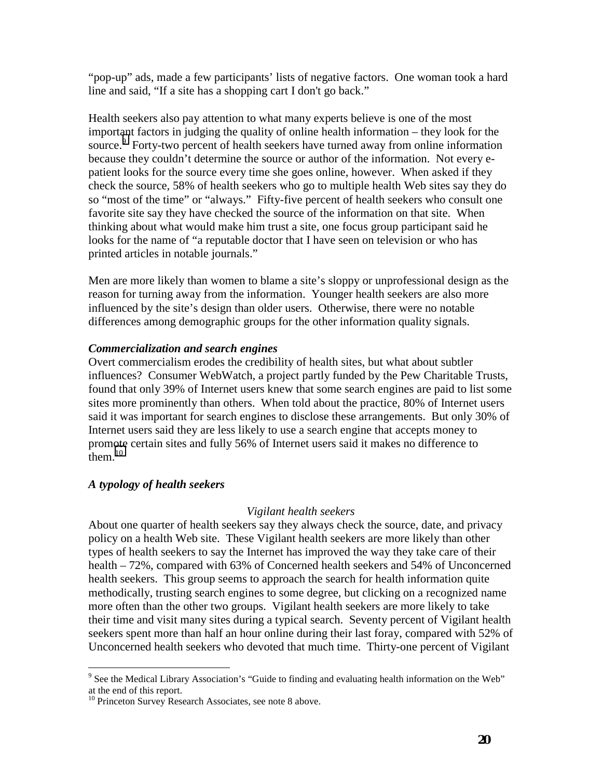"pop-up" ads, made a few participants' lists of negative factors. One woman took a hard line and said, "If a site has a shopping cart I don't go back."

Health seekers also pay attention to what many experts believe is one of the most important factors in judging the quality of online health information – they look for the source.<sup>9</sup> Forty-two percent of health seekers have turned away from online information because they couldn't determine the source or author of the information. Not every epatient looks for the source every time she goes online, however. When asked if they check the source, 58% of health seekers who go to multiple health Web sites say they do so "most of the time" or "always." Fifty-five percent of health seekers who consult one favorite site say they have checked the source of the information on that site. When thinking about what would make him trust a site, one focus group participant said he looks for the name of "a reputable doctor that I have seen on television or who has printed articles in notable journals."

Men are more likely than women to blame a site's sloppy or unprofessional design as the reason for turning away from the information. Younger health seekers are also more influenced by the site's design than older users. Otherwise, there were no notable differences among demographic groups for the other information quality signals.

#### *Commercialization and search engines*

Overt commercialism erodes the credibility of health sites, but what about subtler influences? Consumer WebWatch, a project partly funded by the Pew Charitable Trusts, found that only 39% of Internet users knew that some search engines are paid to list some sites more prominently than others. When told about the practice, 80% of Internet users said it was important for search engines to disclose these arrangements. But only 30% of Internet users said they are less likely to use a search engine that accepts money to promote certain sites and fully 56% of Internet users said it makes no difference to  $\frac{1}{10}$ 

### *A typology of health seekers*

#### *Vigilant health seekers*

About one quarter of health seekers say they always check the source, date, and privacy policy on a health Web site. These Vigilant health seekers are more likely than other types of health seekers to say the Internet has improved the way they take care of their health – 72%, compared with 63% of Concerned health seekers and 54% of Unconcerned health seekers. This group seems to approach the search for health information quite methodically, trusting search engines to some degree, but clicking on a recognized name more often than the other two groups. Vigilant health seekers are more likely to take their time and visit many sites during a typical search. Seventy percent of Vigilant health seekers spent more than half an hour online during their last foray, compared with 52% of Unconcerned health seekers who devoted that much time. Thirty-one percent of Vigilant

<sup>&</sup>lt;sup>9</sup> See the Medical Library Association's "Guide to finding and evaluating health information on the Web" at the end of this report.

<sup>&</sup>lt;sup>10</sup> Princeton Survey Research Associates, see note 8 above.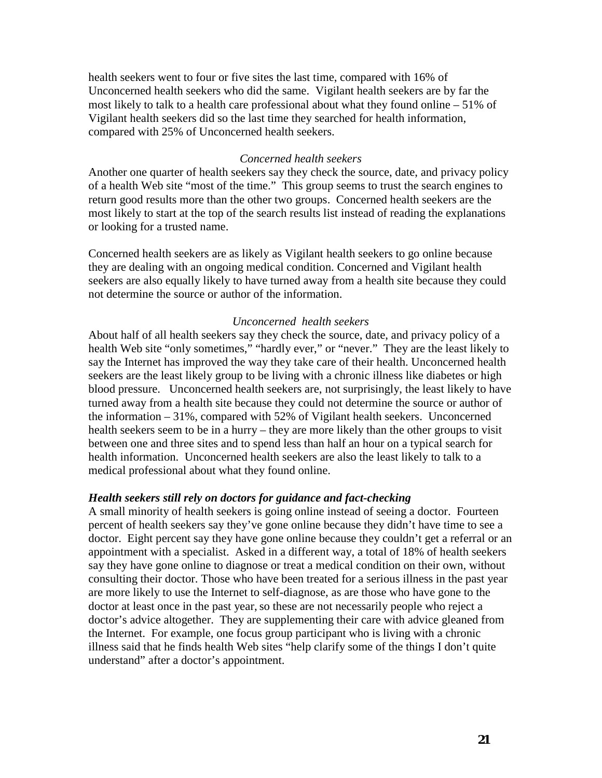health seekers went to four or five sites the last time, compared with 16% of Unconcerned health seekers who did the same. Vigilant health seekers are by far the most likely to talk to a health care professional about what they found online – 51% of Vigilant health seekers did so the last time they searched for health information, compared with 25% of Unconcerned health seekers.

#### *Concerned health seekers*

Another one quarter of health seekers say they check the source, date, and privacy policy of a health Web site "most of the time." This group seems to trust the search engines to return good results more than the other two groups. Concerned health seekers are the most likely to start at the top of the search results list instead of reading the explanations or looking for a trusted name.

Concerned health seekers are as likely as Vigilant health seekers to go online because they are dealing with an ongoing medical condition. Concerned and Vigilant health seekers are also equally likely to have turned away from a health site because they could not determine the source or author of the information.

#### *Unconcerned health seekers*

About half of all health seekers say they check the source, date, and privacy policy of a health Web site "only sometimes," "hardly ever," or "never." They are the least likely to say the Internet has improved the way they take care of their health. Unconcerned health seekers are the least likely group to be living with a chronic illness like diabetes or high blood pressure. Unconcerned health seekers are, not surprisingly, the least likely to have turned away from a health site because they could not determine the source or author of the information – 31%, compared with 52% of Vigilant health seekers. Unconcerned health seekers seem to be in a hurry – they are more likely than the other groups to visit between one and three sites and to spend less than half an hour on a typical search for health information. Unconcerned health seekers are also the least likely to talk to a medical professional about what they found online.

#### *Health seekers still rely on doctors for guidance and fact-checking*

A small minority of health seekers is going online instead of seeing a doctor. Fourteen percent of health seekers say they've gone online because they didn't have time to see a doctor. Eight percent say they have gone online because they couldn't get a referral or an appointment with a specialist. Asked in a different way, a total of 18% of health seekers say they have gone online to diagnose or treat a medical condition on their own, without consulting their doctor. Those who have been treated for a serious illness in the past year are more likely to use the Internet to self-diagnose, as are those who have gone to the doctor at least once in the past year, so these are not necessarily people who reject a doctor's advice altogether. They are supplementing their care with advice gleaned from the Internet. For example, one focus group participant who is living with a chronic illness said that he finds health Web sites "help clarify some of the things I don't quite understand" after a doctor's appointment.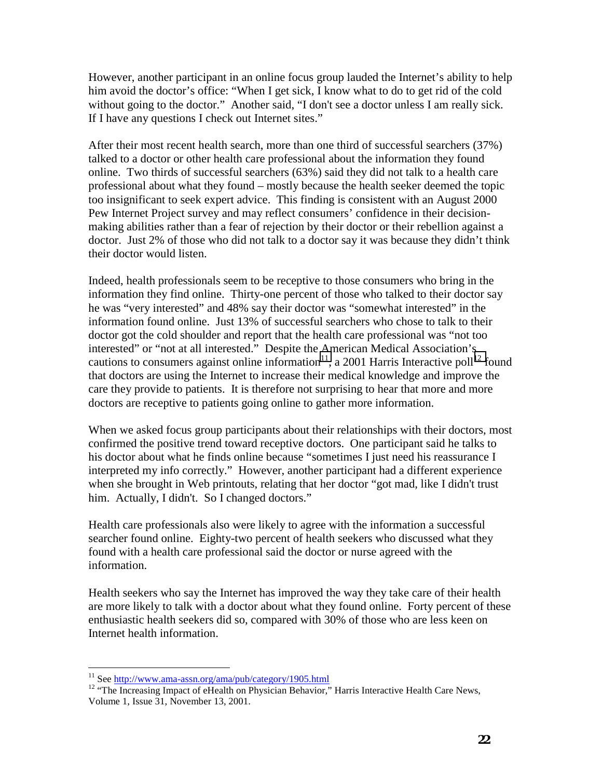However, another participant in an online focus group lauded the Internet's ability to help him avoid the doctor's office: "When I get sick, I know what to do to get rid of the cold without going to the doctor." Another said, "I don't see a doctor unless I am really sick. If I have any questions I check out Internet sites."

After their most recent health search, more than one third of successful searchers (37%) talked to a doctor or other health care professional about the information they found online. Two thirds of successful searchers (63%) said they did not talk to a health care professional about what they found – mostly because the health seeker deemed the topic too insignificant to seek expert advice. This finding is consistent with an August 2000 Pew Internet Project survey and may reflect consumers' confidence in their decisionmaking abilities rather than a fear of rejection by their doctor or their rebellion against a doctor. Just 2% of those who did not talk to a doctor say it was because they didn't think their doctor would listen.

Indeed, health professionals seem to be receptive to those consumers who bring in the information they find online. Thirty-one percent of those who talked to their doctor say he was "very interested" and 48% say their doctor was "somewhat interested" in the information found online. Just 13% of successful searchers who chose to talk to their doctor got the cold shoulder and report that the health care professional was "not too interested" or "not at all interested." Despite the American Medical Association's cautions to consumers against online information<sup>11</sup>, a 2001 Harris Interactive poll<sup>12</sup> found that doctors are using the Internet to increase their medical knowledge and improve the care they provide to patients. It is therefore not surprising to hear that more and more doctors are receptive to patients going online to gather more information.

When we asked focus group participants about their relationships with their doctors, most confirmed the positive trend toward receptive doctors. One participant said he talks to his doctor about what he finds online because "sometimes I just need his reassurance I interpreted my info correctly." However, another participant had a different experience when she brought in Web printouts, relating that her doctor "got mad, like I didn't trust him. Actually, I didn't. So I changed doctors."

Health care professionals also were likely to agree with the information a successful searcher found online. Eighty-two percent of health seekers who discussed what they found with a health care professional said the doctor or nurse agreed with the information.

Health seekers who say the Internet has improved the way they take care of their health are more likely to talk with a doctor about what they found online. Forty percent of these enthusiastic health seekers did so, compared with 30% of those who are less keen on Internet health information.

<sup>&</sup>lt;sup>11</sup> See http://www.ama-assn.org/ama/pub/category/1905.html

<sup>&</sup>lt;sup>12</sup> "The Increasing Impact of eHealth on Physician Behavior," Harris Interactive Health Care News, Volume 1, Issue 31, November 13, 2001.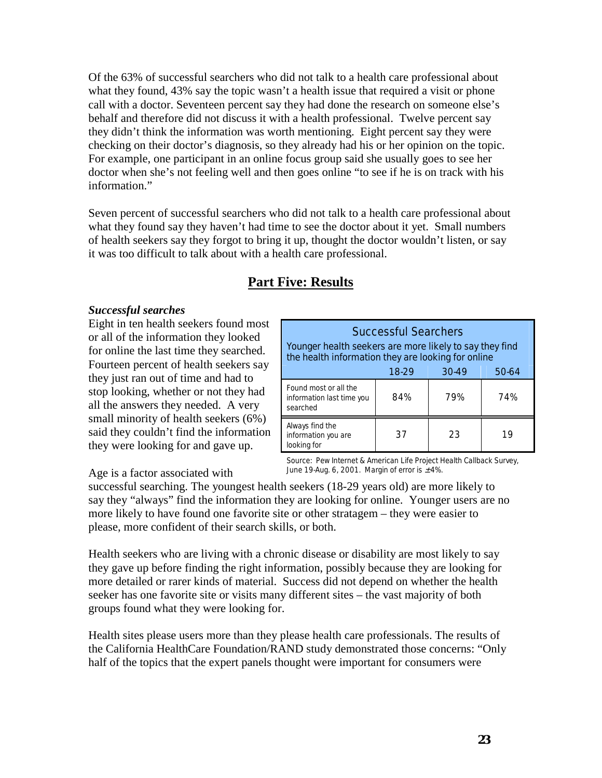Of the 63% of successful searchers who did not talk to a health care professional about what they found, 43% say the topic wasn't a health issue that required a visit or phone call with a doctor. Seventeen percent say they had done the research on someone else's behalf and therefore did not discuss it with a health professional. Twelve percent say they didn't think the information was worth mentioning. Eight percent say they were checking on their doctor's diagnosis, so they already had his or her opinion on the topic. For example, one participant in an online focus group said she usually goes to see her doctor when she's not feeling well and then goes online "to see if he is on track with his information."

Seven percent of successful searchers who did not talk to a health care professional about what they found say they haven't had time to see the doctor about it yet. Small numbers of health seekers say they forgot to bring it up, thought the doctor wouldn't listen, or say it was too difficult to talk about with a health care professional.

## **Part Five: Results**

#### *Successful searches*

Eight in ten health seekers found most or all of the information they looked for online the last time they searched. Fourteen percent of health seekers say they just ran out of time and had to stop looking, whether or not they had all the answers they needed. A very small minority of health seekers (6%) said they couldn't find the information they were looking for and gave up.

| Successful Searchers<br>Younger health seekers are more likely to say they find<br>the health information they are looking for online |     |     |     |
|---------------------------------------------------------------------------------------------------------------------------------------|-----|-----|-----|
| 18-29<br>$30-49$<br>50-64                                                                                                             |     |     |     |
| Found most or all the<br>information last time you<br>searched                                                                        | 84% | 79% | 74% |
| Always find the<br>information you are<br>looking for                                                                                 | 37  | 23  | 19  |

*Source: Pew Internet & American Life Project Health Callback Survey,* 

Age is a factor associated with

successful searching. The youngest health seekers (18-29 years old) are more likely to *June 19-Aug. 6, 2001. Margin of error is*  $±$  *4%.* 

say they "always" find the information they are looking for online. Younger users are no more likely to have found one favorite site or other stratagem – they were easier to please, more confident of their search skills, or both.

Health seekers who are living with a chronic disease or disability are most likely to say they gave up before finding the right information, possibly because they are looking for more detailed or rarer kinds of material. Success did not depend on whether the health seeker has one favorite site or visits many different sites – the vast majority of both groups found what they were looking for.

Health sites please users more than they please health care professionals. The results of the California HealthCare Foundation/RAND study demonstrated those concerns: "Only half of the topics that the expert panels thought were important for consumers were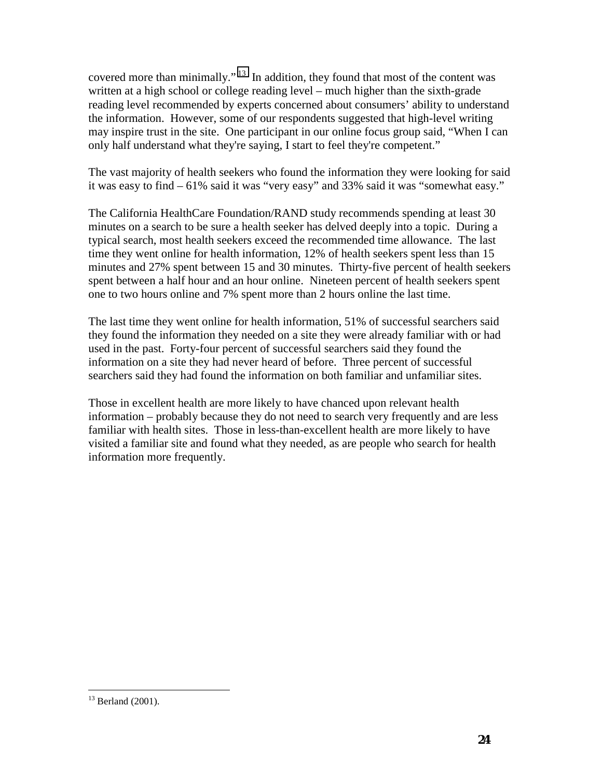covered more than minimally."<sup>13</sup> In addition, they found that most of the content was written at a high school or college reading level – much higher than the sixth-grade reading level recommended by experts concerned about consumers' ability to understand the information. However, some of our respondents suggested that high-level writing may inspire trust in the site. One participant in our online focus group said, "When I can only half understand what they're saying, I start to feel they're competent."

The vast majority of health seekers who found the information they were looking for said it was easy to find – 61% said it was "very easy" and 33% said it was "somewhat easy."

The California HealthCare Foundation/RAND study recommends spending at least 30 minutes on a search to be sure a health seeker has delved deeply into a topic. During a typical search, most health seekers exceed the recommended time allowance. The last time they went online for health information, 12% of health seekers spent less than 15 minutes and 27% spent between 15 and 30 minutes. Thirty-five percent of health seekers spent between a half hour and an hour online. Nineteen percent of health seekers spent one to two hours online and 7% spent more than 2 hours online the last time.

The last time they went online for health information, 51% of successful searchers said they found the information they needed on a site they were already familiar with or had used in the past. Forty-four percent of successful searchers said they found the information on a site they had never heard of before. Three percent of successful searchers said they had found the information on both familiar and unfamiliar sites.

Those in excellent health are more likely to have chanced upon relevant health information – probably because they do not need to search very frequently and are less familiar with health sites. Those in less-than-excellent health are more likely to have visited a familiar site and found what they needed, as are people who search for health information more frequently.

<sup>1</sup>  $13$  Berland (2001).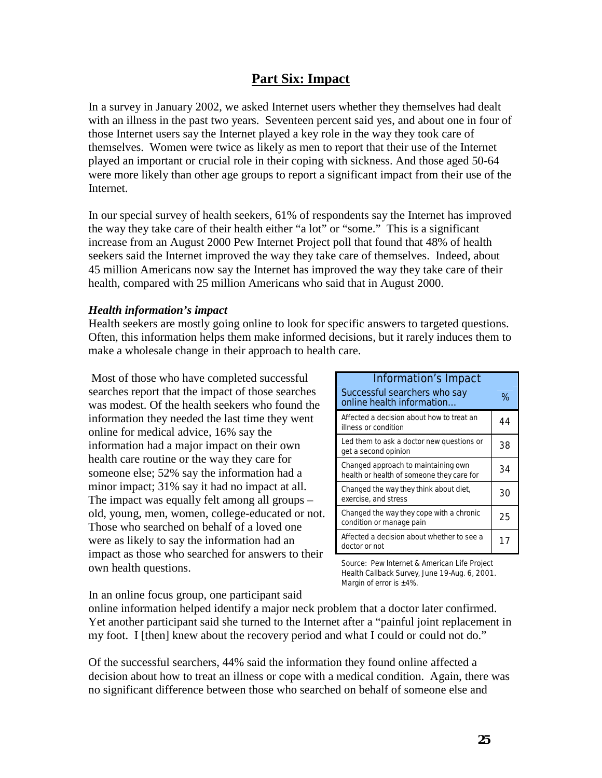## **Part Six: Impact**

In a survey in January 2002, we asked Internet users whether they themselves had dealt with an illness in the past two years. Seventeen percent said yes, and about one in four of those Internet users say the Internet played a key role in the way they took care of themselves. Women were twice as likely as men to report that their use of the Internet played an important or crucial role in their coping with sickness. And those aged 50-64 were more likely than other age groups to report a significant impact from their use of the Internet.

In our special survey of health seekers, 61% of respondents say the Internet has improved the way they take care of their health either "a lot" or "some." This is a significant increase from an August 2000 Pew Internet Project poll that found that 48% of health seekers said the Internet improved the way they take care of themselves. Indeed, about 45 million Americans now say the Internet has improved the way they take care of their health, compared with 25 million Americans who said that in August 2000.

#### *Health information's impact*

Health seekers are mostly going online to look for specific answers to targeted questions. Often, this information helps them make informed decisions, but it rarely induces them to make a wholesale change in their approach to health care.

 Most of those who have completed successful searches report that the impact of those searches was modest. Of the health seekers who found the information they needed the last time they went online for medical advice, 16% say the information had a major impact on their own health care routine or the way they care for someone else; 52% say the information had a minor impact; 31% say it had no impact at all. The impact was equally felt among all groups – old, young, men, women, college-educated or not. Those who searched on behalf of a loved one were as likely to say the information had an impact as those who searched for answers to their own health questions.

| Information's Impact                                                             |    |
|----------------------------------------------------------------------------------|----|
| Successful searchers who say<br>online health information                        | ℅  |
| Affected a decision about how to treat an<br>illness or condition                | 44 |
| Led them to ask a doctor new questions or<br>get a second opinion                | 38 |
| Changed approach to maintaining own<br>health or health of someone they care for | 34 |
| Changed the way they think about diet,<br>exercise, and stress                   | 30 |
| Changed the way they cope with a chronic<br>condition or manage pain             | 25 |
| Affected a decision about whether to see a<br>doctor or not                      | 17 |

*Source: Pew Internet & American Life Project Health Callback Survey, June 19-Aug. 6, 2001. Margin of error is ±4%.*

In an online focus group, one participant said

online information helped identify a major neck problem that a doctor later confirmed. Yet another participant said she turned to the Internet after a "painful joint replacement in my foot. I [then] knew about the recovery period and what I could or could not do."

Of the successful searchers, 44% said the information they found online affected a decision about how to treat an illness or cope with a medical condition. Again, there was no significant difference between those who searched on behalf of someone else and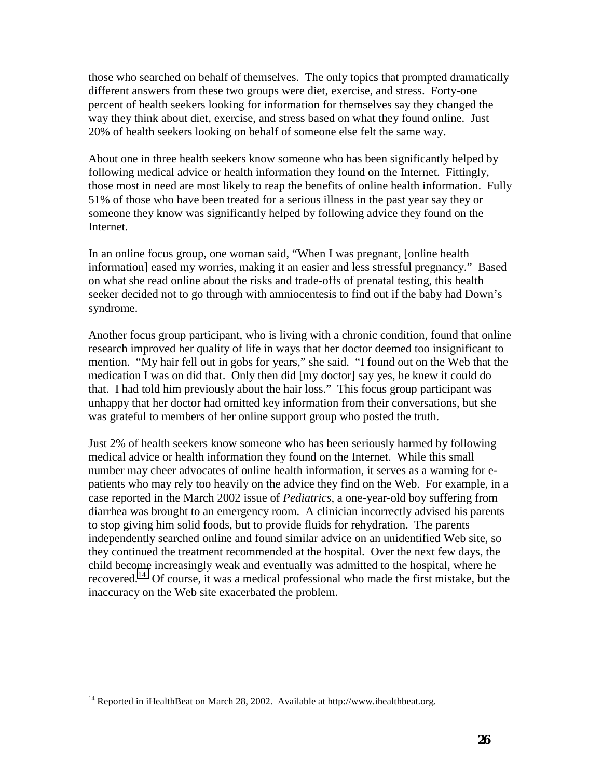those who searched on behalf of themselves. The only topics that prompted dramatically different answers from these two groups were diet, exercise, and stress. Forty-one percent of health seekers looking for information for themselves say they changed the way they think about diet, exercise, and stress based on what they found online. Just 20% of health seekers looking on behalf of someone else felt the same way.

About one in three health seekers know someone who has been significantly helped by following medical advice or health information they found on the Internet. Fittingly, those most in need are most likely to reap the benefits of online health information. Fully 51% of those who have been treated for a serious illness in the past year say they or someone they know was significantly helped by following advice they found on the Internet.

In an online focus group, one woman said, "When I was pregnant, [online health information] eased my worries, making it an easier and less stressful pregnancy." Based on what she read online about the risks and trade-offs of prenatal testing, this health seeker decided not to go through with amniocentesis to find out if the baby had Down's syndrome.

Another focus group participant, who is living with a chronic condition, found that online research improved her quality of life in ways that her doctor deemed too insignificant to mention. "My hair fell out in gobs for years," she said. "I found out on the Web that the medication I was on did that. Only then did [my doctor] say yes, he knew it could do that. I had told him previously about the hair loss." This focus group participant was unhappy that her doctor had omitted key information from their conversations, but she was grateful to members of her online support group who posted the truth.

Just 2% of health seekers know someone who has been seriously harmed by following medical advice or health information they found on the Internet. While this small number may cheer advocates of online health information, it serves as a warning for epatients who may rely too heavily on the advice they find on the Web. For example, in a case reported in the March 2002 issue of *Pediatrics*, a one-year-old boy suffering from diarrhea was brought to an emergency room. A clinician incorrectly advised his parents to stop giving him solid foods, but to provide fluids for rehydration. The parents independently searched online and found similar advice on an unidentified Web site, so they continued the treatment recommended at the hospital. Over the next few days, the child become increasingly weak and eventually was admitted to the hospital, where he recovered.14 Of course, it was a medical professional who made the first mistake, but the inaccuracy on the Web site exacerbated the problem.

1

 $14$  Reported in iHealthBeat on March 28, 2002. Available at http://www.ihealthbeat.org.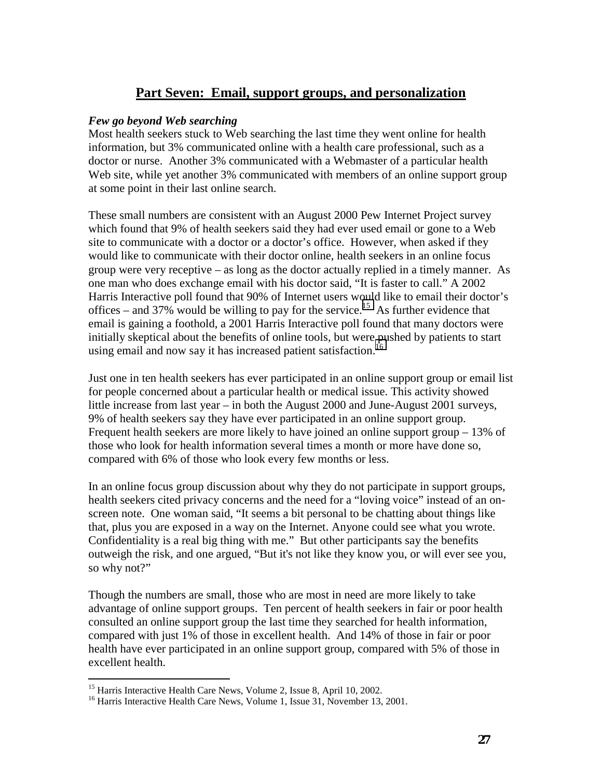## **Part Seven: Email, support groups, and personalization**

#### *Few go beyond Web searching*

Most health seekers stuck to Web searching the last time they went online for health information, but 3% communicated online with a health care professional, such as a doctor or nurse. Another 3% communicated with a Webmaster of a particular health Web site, while yet another 3% communicated with members of an online support group at some point in their last online search.

These small numbers are consistent with an August 2000 Pew Internet Project survey which found that 9% of health seekers said they had ever used email or gone to a Web site to communicate with a doctor or a doctor's office. However, when asked if they would like to communicate with their doctor online, health seekers in an online focus group were very receptive – as long as the doctor actually replied in a timely manner. As one man who does exchange email with his doctor said, "It is faster to call." A 2002 Harris Interactive poll found that 90% of Internet users would like to email their doctor's offices – and 37% would be willing to pay for the service.<sup>15</sup> As further evidence that email is gaining a foothold, a 2001 Harris Interactive poll found that many doctors were initially skeptical about the benefits of online tools, but were pushed by patients to start using email and now say it has increased patient satisfaction.<sup>16</sup>

Just one in ten health seekers has ever participated in an online support group or email list for people concerned about a particular health or medical issue. This activity showed little increase from last year – in both the August 2000 and June-August 2001 surveys, 9% of health seekers say they have ever participated in an online support group. Frequent health seekers are more likely to have joined an online support group – 13% of those who look for health information several times a month or more have done so, compared with 6% of those who look every few months or less.

In an online focus group discussion about why they do not participate in support groups, health seekers cited privacy concerns and the need for a "loving voice" instead of an onscreen note. One woman said, "It seems a bit personal to be chatting about things like that, plus you are exposed in a way on the Internet. Anyone could see what you wrote. Confidentiality is a real big thing with me." But other participants say the benefits outweigh the risk, and one argued, "But it's not like they know you, or will ever see you, so why not?"

Though the numbers are small, those who are most in need are more likely to take advantage of online support groups. Ten percent of health seekers in fair or poor health consulted an online support group the last time they searched for health information, compared with just 1% of those in excellent health. And 14% of those in fair or poor health have ever participated in an online support group, compared with 5% of those in excellent health.

 $\overline{a}$ 

<sup>&</sup>lt;sup>15</sup> Harris Interactive Health Care News, Volume 2, Issue 8, April 10, 2002.

<sup>&</sup>lt;sup>16</sup> Harris Interactive Health Care News, Volume 1, Issue 31, November 13, 2001.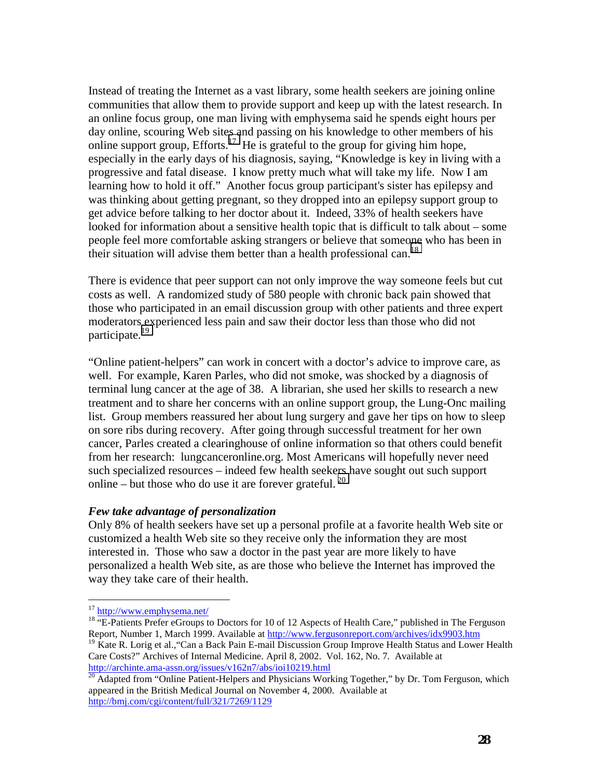Instead of treating the Internet as a vast library, some health seekers are joining online communities that allow them to provide support and keep up with the latest research. In an online focus group, one man living with emphysema said he spends eight hours per day online, scouring Web sites and passing on his knowledge to other members of his online support group, Efforts.<sup>17</sup> He is grateful to the group for giving him hope, especially in the early days of his diagnosis, saying, "Knowledge is key in living with a progressive and fatal disease. I know pretty much what will take my life. Now I am learning how to hold it off." Another focus group participant's sister has epilepsy and was thinking about getting pregnant, so they dropped into an epilepsy support group to get advice before talking to her doctor about it. Indeed, 33% of health seekers have looked for information about a sensitive health topic that is difficult to talk about – some people feel more comfortable asking strangers or believe that someone who has been in their situation will advise them better than a health professional can.<sup>18</sup>

There is evidence that peer support can not only improve the way someone feels but cut costs as well. A randomized study of 580 people with chronic back pain showed that those who participated in an email discussion group with other patients and three expert moderators experienced less pain and saw their doctor less than those who did not participate.<sup>19</sup>

"Online patient-helpers" can work in concert with a doctor's advice to improve care, as well. For example, Karen Parles, who did not smoke, was shocked by a diagnosis of terminal lung cancer at the age of 38. A librarian, she used her skills to research a new treatment and to share her concerns with an online support group, the Lung-Onc mailing list. Group members reassured her about lung surgery and gave her tips on how to sleep on sore ribs during recovery. After going through successful treatment for her own cancer, Parles created a clearinghouse of online information so that others could benefit from her research: lungcanceronline.org. Most Americans will hopefully never need such specialized resources – indeed few health seekers have sought out such support online – but those who do use it are forever grateful.<sup>20</sup>

#### *Few take advantage of personalization*

Only 8% of health seekers have set up a personal profile at a favorite health Web site or customized a health Web site so they receive only the information they are most interested in. Those who saw a doctor in the past year are more likely to have personalized a health Web site, as are those who believe the Internet has improved the way they take care of their health.

 $\overline{a}$ 

<sup>&</sup>lt;sup>17</sup> http://www.emphysema.net/<br><sup>18</sup> "E-Patients Prefer eGroups to Doctors for 10 of 12 Aspects of Health Care," published in The Ferguson Report, Number 1, March 1999. Available at http://www.fergusonreport.com/archives/idx9903.htm<br><sup>19</sup> Kate R. Lorig et al., "Can a Back Pain E-mail Discussion Group Improve Health Status and Lower Health

Care Costs?" Archives of Internal Medicine. April 8, 2002. Vol. 162, No. 7. Available at http://archinte.ama-assn.org/issues/v162n7/abs/ioi10219.html

<sup>&</sup>lt;sup>20</sup> Adapted from "Online Patient-Helpers and Physicians Working Together," by Dr. Tom Ferguson, which appeared in the British Medical Journal on November 4, 2000. Available at http://bmj.com/cgi/content/full/321/7269/1129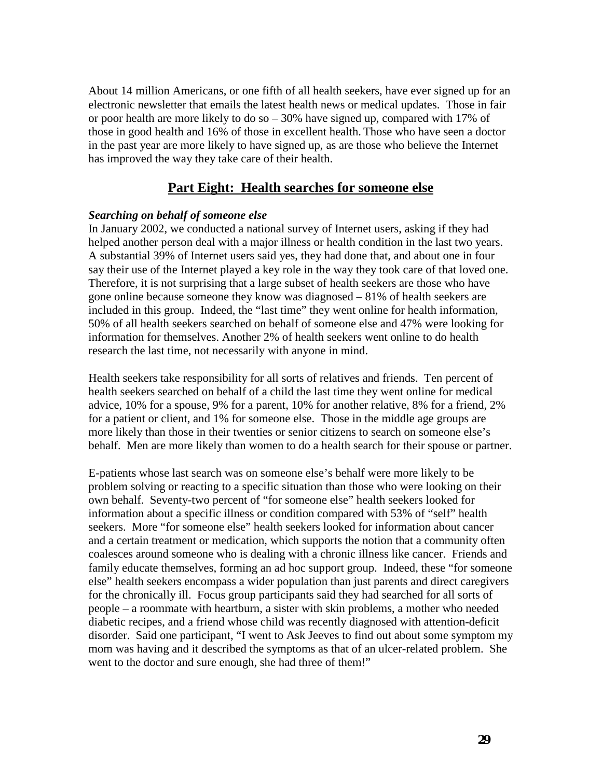About 14 million Americans, or one fifth of all health seekers, have ever signed up for an electronic newsletter that emails the latest health news or medical updates. Those in fair or poor health are more likely to do so – 30% have signed up, compared with 17% of those in good health and 16% of those in excellent health. Those who have seen a doctor in the past year are more likely to have signed up, as are those who believe the Internet has improved the way they take care of their health.

#### **Part Eight: Health searches for someone else**

#### *Searching on behalf of someone else*

In January 2002, we conducted a national survey of Internet users, asking if they had helped another person deal with a major illness or health condition in the last two years. A substantial 39% of Internet users said yes, they had done that, and about one in four say their use of the Internet played a key role in the way they took care of that loved one. Therefore, it is not surprising that a large subset of health seekers are those who have gone online because someone they know was diagnosed – 81% of health seekers are included in this group. Indeed, the "last time" they went online for health information, 50% of all health seekers searched on behalf of someone else and 47% were looking for information for themselves. Another 2% of health seekers went online to do health research the last time, not necessarily with anyone in mind.

Health seekers take responsibility for all sorts of relatives and friends. Ten percent of health seekers searched on behalf of a child the last time they went online for medical advice, 10% for a spouse, 9% for a parent, 10% for another relative, 8% for a friend, 2% for a patient or client, and 1% for someone else. Those in the middle age groups are more likely than those in their twenties or senior citizens to search on someone else's behalf. Men are more likely than women to do a health search for their spouse or partner.

E-patients whose last search was on someone else's behalf were more likely to be problem solving or reacting to a specific situation than those who were looking on their own behalf. Seventy-two percent of "for someone else" health seekers looked for information about a specific illness or condition compared with 53% of "self" health seekers. More "for someone else" health seekers looked for information about cancer and a certain treatment or medication, which supports the notion that a community often coalesces around someone who is dealing with a chronic illness like cancer. Friends and family educate themselves, forming an ad hoc support group. Indeed, these "for someone else" health seekers encompass a wider population than just parents and direct caregivers for the chronically ill. Focus group participants said they had searched for all sorts of people – a roommate with heartburn, a sister with skin problems, a mother who needed diabetic recipes, and a friend whose child was recently diagnosed with attention-deficit disorder. Said one participant, "I went to Ask Jeeves to find out about some symptom my mom was having and it described the symptoms as that of an ulcer-related problem. She went to the doctor and sure enough, she had three of them!"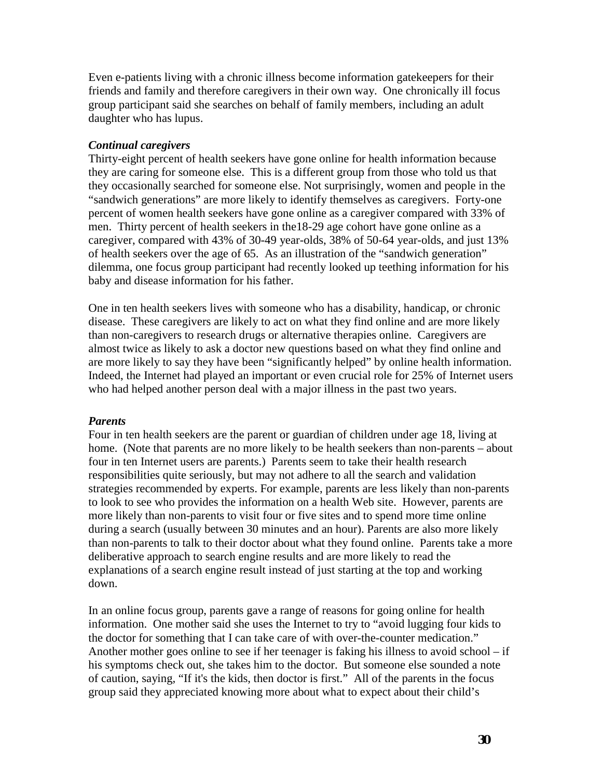Even e-patients living with a chronic illness become information gatekeepers for their friends and family and therefore caregivers in their own way. One chronically ill focus group participant said she searches on behalf of family members, including an adult daughter who has lupus.

#### *Continual caregivers*

Thirty-eight percent of health seekers have gone online for health information because they are caring for someone else. This is a different group from those who told us that they occasionally searched for someone else. Not surprisingly, women and people in the "sandwich generations" are more likely to identify themselves as caregivers. Forty-one percent of women health seekers have gone online as a caregiver compared with 33% of men. Thirty percent of health seekers in the18-29 age cohort have gone online as a caregiver, compared with 43% of 30-49 year-olds, 38% of 50-64 year-olds, and just 13% of health seekers over the age of 65. As an illustration of the "sandwich generation" dilemma, one focus group participant had recently looked up teething information for his baby and disease information for his father.

One in ten health seekers lives with someone who has a disability, handicap, or chronic disease. These caregivers are likely to act on what they find online and are more likely than non-caregivers to research drugs or alternative therapies online. Caregivers are almost twice as likely to ask a doctor new questions based on what they find online and are more likely to say they have been "significantly helped" by online health information. Indeed, the Internet had played an important or even crucial role for 25% of Internet users who had helped another person deal with a major illness in the past two years.

#### *Parents*

Four in ten health seekers are the parent or guardian of children under age 18, living at home. (Note that parents are no more likely to be health seekers than non-parents – about four in ten Internet users are parents.) Parents seem to take their health research responsibilities quite seriously, but may not adhere to all the search and validation strategies recommended by experts. For example, parents are less likely than non-parents to look to see who provides the information on a health Web site. However, parents are more likely than non-parents to visit four or five sites and to spend more time online during a search (usually between 30 minutes and an hour). Parents are also more likely than non-parents to talk to their doctor about what they found online. Parents take a more deliberative approach to search engine results and are more likely to read the explanations of a search engine result instead of just starting at the top and working down.

In an online focus group, parents gave a range of reasons for going online for health information. One mother said she uses the Internet to try to "avoid lugging four kids to the doctor for something that I can take care of with over-the-counter medication." Another mother goes online to see if her teenager is faking his illness to avoid school – if his symptoms check out, she takes him to the doctor. But someone else sounded a note of caution, saying, "If it's the kids, then doctor is first." All of the parents in the focus group said they appreciated knowing more about what to expect about their child's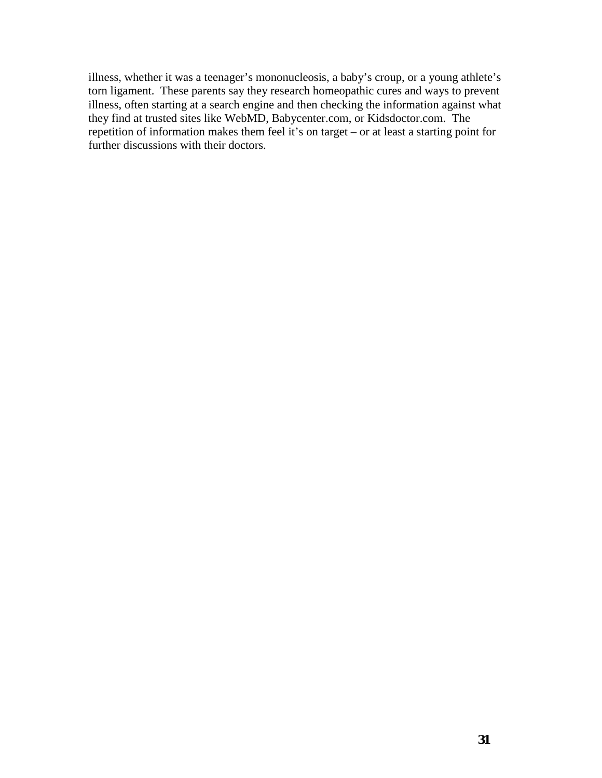illness, whether it was a teenager's mononucleosis, a baby's croup, or a young athlete's torn ligament. These parents say they research homeopathic cures and ways to prevent illness, often starting at a search engine and then checking the information against what they find at trusted sites like WebMD, Babycenter.com, or Kidsdoctor.com. The repetition of information makes them feel it's on target – or at least a starting point for further discussions with their doctors.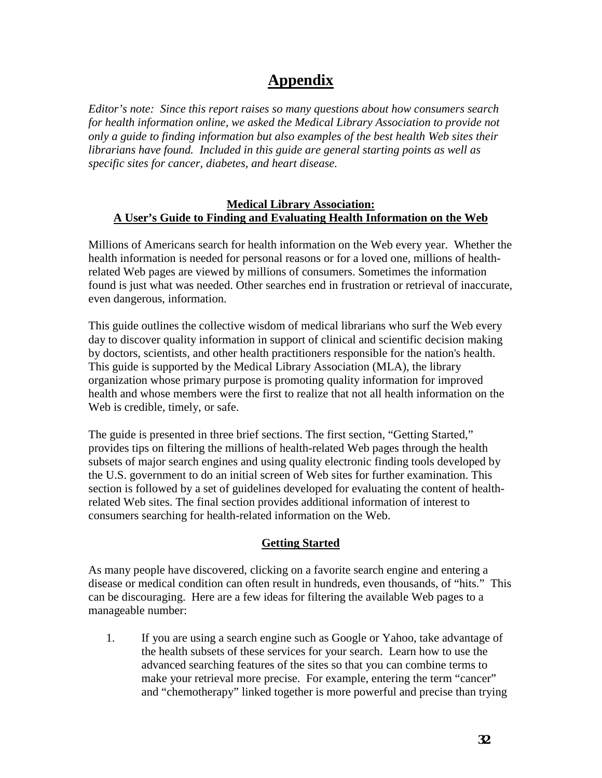## **Appendix**

*Editor's note: Since this report raises so many questions about how consumers search for health information online, we asked the Medical Library Association to provide not only a guide to finding information but also examples of the best health Web sites their librarians have found. Included in this guide are general starting points as well as specific sites for cancer, diabetes, and heart disease.* 

### **Medical Library Association: A User's Guide to Finding and Evaluating Health Information on the Web**

Millions of Americans search for health information on the Web every year. Whether the health information is needed for personal reasons or for a loved one, millions of healthrelated Web pages are viewed by millions of consumers. Sometimes the information found is just what was needed. Other searches end in frustration or retrieval of inaccurate, even dangerous, information.

This guide outlines the collective wisdom of medical librarians who surf the Web every day to discover quality information in support of clinical and scientific decision making by doctors, scientists, and other health practitioners responsible for the nation's health. This guide is supported by the Medical Library Association (MLA), the library organization whose primary purpose is promoting quality information for improved health and whose members were the first to realize that not all health information on the Web is credible, timely, or safe.

The guide is presented in three brief sections. The first section, "Getting Started," provides tips on filtering the millions of health-related Web pages through the health subsets of major search engines and using quality electronic finding tools developed by the U.S. government to do an initial screen of Web sites for further examination. This section is followed by a set of guidelines developed for evaluating the content of healthrelated Web sites. The final section provides additional information of interest to consumers searching for health-related information on the Web.

### **Getting Started**

As many people have discovered, clicking on a favorite search engine and entering a disease or medical condition can often result in hundreds, even thousands, of "hits." This can be discouraging. Here are a few ideas for filtering the available Web pages to a manageable number:

1. If you are using a search engine such as Google or Yahoo, take advantage of the health subsets of these services for your search. Learn how to use the advanced searching features of the sites so that you can combine terms to make your retrieval more precise. For example, entering the term "cancer" and "chemotherapy" linked together is more powerful and precise than trying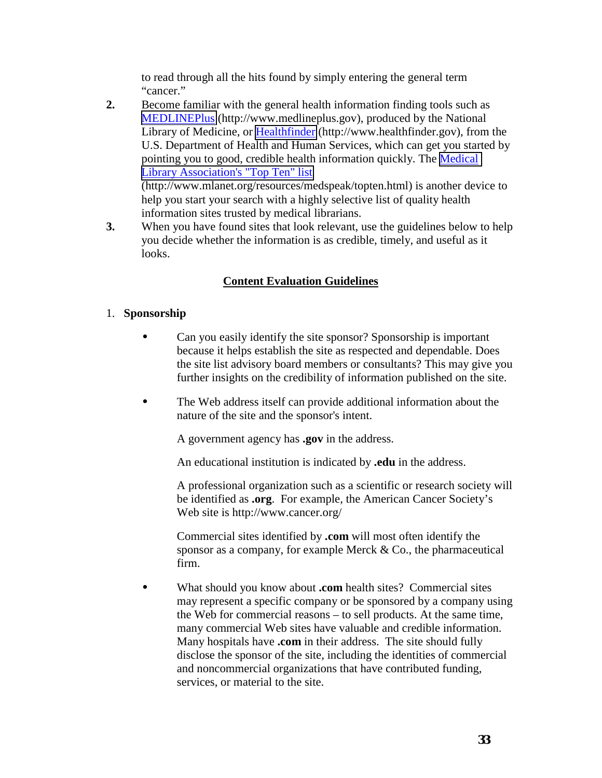to read through all the hits found by simply entering the general term "cancer."

**2.** Become familiar with the general health information finding tools such as [MEDLINEPlus](http://www.medlineplus.gov/) (http://www.medlineplus.gov), produced by the National Library of Medicine, or [Healthfinder](http://www.healthfinder.gov/) (http://www.healthfinder.gov), from the U.S. Department of Health and Human Services, which can get you started by pointing you to good, credible health information quickly. The [Medical](http://www.mlanet.org/resources/medspeak/topten.html)  [Library Association's "Top Ten"](http://www.mlanet.org/resources/medspeak/topten.html) list (http://www.mlanet.org/resources/medspeak/topten.html) is another device to

help you start your search with a highly selective list of quality health information sites trusted by medical librarians.

**3.** When you have found sites that look relevant, use the guidelines below to help you decide whether the information is as credible, timely, and useful as it looks.

## **Content Evaluation Guidelines**

## 1. **Sponsorship**

- Can you easily identify the site sponsor? Sponsorship is important because it helps establish the site as respected and dependable. Does the site list advisory board members or consultants? This may give you further insights on the credibility of information published on the site.
- The Web address itself can provide additional information about the nature of the site and the sponsor's intent.

A government agency has **.gov** in the address.

An educational institution is indicated by **.edu** in the address.

A professional organization such as a scientific or research society will be identified as **.org**. For example, the American Cancer Society's Web site is http://www.cancer.org/

Commercial sites identified by **.com** will most often identify the sponsor as a company, for example Merck & Co., the pharmaceutical firm.

• What should you know about **.com** health sites? Commercial sites may represent a specific company or be sponsored by a company using the Web for commercial reasons *–* to sell products. At the same time, many commercial Web sites have valuable and credible information. Many hospitals have **.com** in their address. The site should fully disclose the sponsor of the site, including the identities of commercial and noncommercial organizations that have contributed funding, services, or material to the site.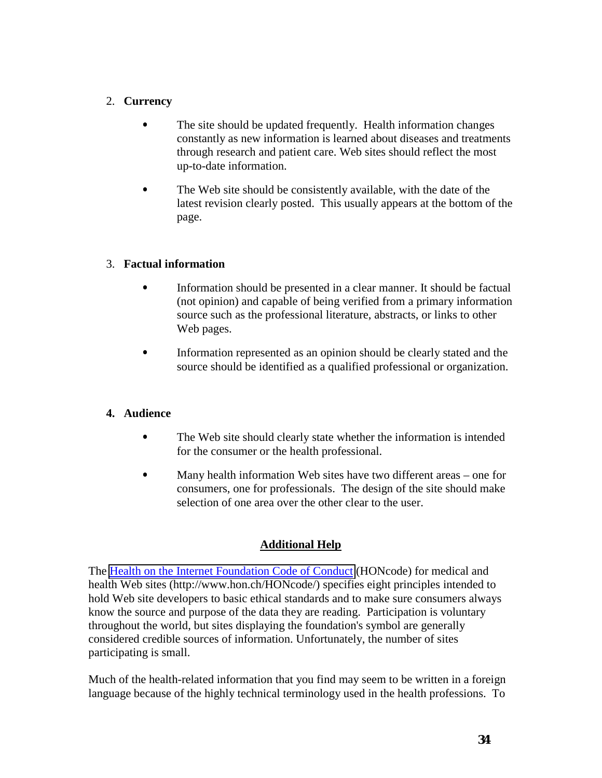## 2. **Currency**

- The site should be updated frequently. Health information changes constantly as new information is learned about diseases and treatments through research and patient care. Web sites should reflect the most up-to-date information.
- The Web site should be consistently available, with the date of the latest revision clearly posted. This usually appears at the bottom of the page.

## 3. **Factual information**

- Information should be presented in a clear manner. It should be factual (not opinion) and capable of being verified from a primary information source such as the professional literature, abstracts, or links to other Web pages.
- Information represented as an opinion should be clearly stated and the source should be identified as a qualified professional or organization.

## **4. Audience**

- The Web site should clearly state whether the information is intended for the consumer or the health professional.
- Many health information Web sites have two different areas one for consumers, one for professionals. The design of the site should make selection of one area over the other clear to the user.

## **Additional Help**

The [Health on the Internet Foundation Code of Conduct](http://www.hon.ch/HONcode/) (HONcode) for medical and health Web sites (http://www.hon.ch/HONcode/) specifies eight principles intended to hold Web site developers to basic ethical standards and to make sure consumers always know the source and purpose of the data they are reading. Participation is voluntary throughout the world, but sites displaying the foundation's symbol are generally considered credible sources of information. Unfortunately, the number of sites participating is small.

Much of the health-related information that you find may seem to be written in a foreign language because of the highly technical terminology used in the health professions. To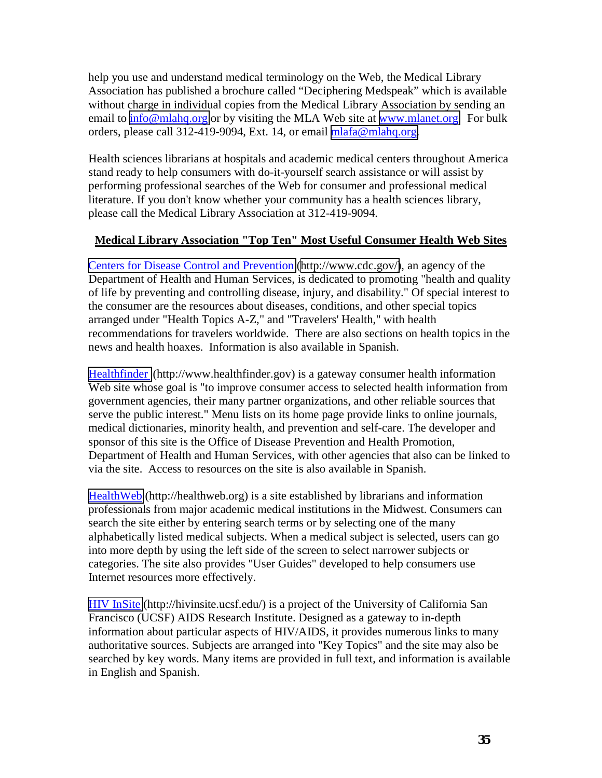help you use and understand medical terminology on the Web, the Medical Library Association has published a brochure called "Deciphering Medspeak" which is available without charge in individual copies from the Medical Library Association by sending an email to [info@mlahq.org](mailto:info@mlahq.org) or by visiting the MLA Web site at [www.mlanet.org.](http://www.mlanet.org/) For bulk orders, please call 312-419-9094, Ext. 14, or email [mlafa@mlahq.org.](mailto:mlafa@mlahq.org)

Health sciences librarians at hospitals and academic medical centers throughout America stand ready to help consumers with do-it-yourself search assistance or will assist by performing professional searches of the Web for consumer and professional medical literature. If you don't know whether your community has a health sciences library, please call the Medical Library Association at 312-419-9094.

### **Medical Library Association "Top Ten" Most Useful Consumer Health Web Sites**

[Centers for Disease Control and Prevention](http://www.cdc.gov/) ([http://www.cdc.gov/\)](http://www.cdc.gov/), an agency of the Department of Health and Human Services, is dedicated to promoting "health and quality of life by preventing and controlling disease, injury, and disability." Of special interest to the consumer are the resources about diseases, conditions, and other special topics arranged under "Health Topics A-Z," and "Travelers' Health," with health recommendations for travelers worldwide. There are also sections on health topics in the news and health hoaxes. Information is also available in Spanish.

[Healthfinder](http://www.healthfinder.gov/) (http://www.healthfinder.gov) is a gateway consumer health information Web site whose goal is "to improve consumer access to selected health information from government agencies, their many partner organizations, and other reliable sources that serve the public interest." Menu lists on its home page provide links to online journals, medical dictionaries, minority health, and prevention and self-care. The developer and sponsor of this site is the Office of Disease Prevention and Health Promotion, Department of Health and Human Services, with other agencies that also can be linked to via the site. Access to resources on the site is also available in Spanish.

[HealthWeb](http://www.healthweb.org/) (http://healthweb.org) is a site established by librarians and information professionals from major academic medical institutions in the Midwest. Consumers can search the site either by entering search terms or by selecting one of the many alphabetically listed medical subjects. When a medical subject is selected, users can go into more depth by using the left side of the screen to select narrower subjects or categories. The site also provides "User Guides" developed to help consumers use Internet resources more effectively.

[HIV InSite](http://hivinsite.ucsf.edu/) (http://hivinsite.ucsf.edu/) is a project of the University of California San Francisco (UCSF) AIDS Research Institute. Designed as a gateway to in-depth information about particular aspects of HIV/AIDS, it provides numerous links to many authoritative sources. Subjects are arranged into "Key Topics" and the site may also be searched by key words. Many items are provided in full text, and information is available in English and Spanish.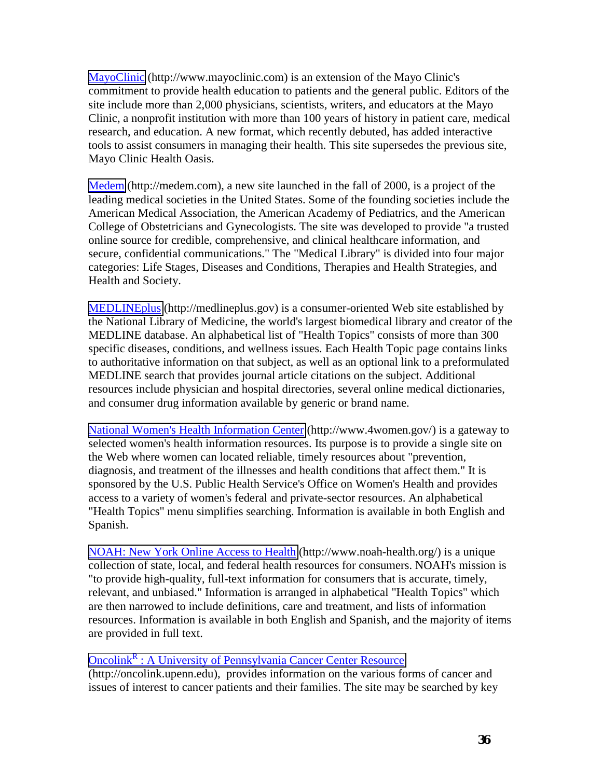[MayoClinic](http://www.mayoclinic.com/) (http://www.mayoclinic.com) is an extension of the Mayo Clinic's commitment to provide health education to patients and the general public. Editors of the site include more than 2,000 physicians, scientists, writers, and educators at the Mayo Clinic, a nonprofit institution with more than 100 years of history in patient care, medical research, and education. A new format, which recently debuted, has added interactive tools to assist consumers in managing their health. This site supersedes the previous site, Mayo Clinic Health Oasis.

[Medem](http://medem.com/) (http://medem.com), a new site launched in the fall of 2000, is a project of the leading medical societies in the United States. Some of the founding societies include the American Medical Association, the American Academy of Pediatrics, and the American College of Obstetricians and Gynecologists. The site was developed to provide "a trusted online source for credible, comprehensive, and clinical healthcare information, and secure, confidential communications." The "Medical Library" is divided into four major categories: Life Stages, Diseases and Conditions, Therapies and Health Strategies, and Health and Society.

[MEDLINEplus](http://medlineplus.gov/) (http://medlineplus.gov) is a consumer-oriented Web site established by the National Library of Medicine, the world's largest biomedical library and creator of the MEDLINE database. An alphabetical list of "Health Topics" consists of more than 300 specific diseases, conditions, and wellness issues. Each Health Topic page contains links to authoritative information on that subject, as well as an optional link to a preformulated MEDLINE search that provides journal article citations on the subject. Additional resources include physician and hospital directories, several online medical dictionaries, and consumer drug information available by generic or brand name.

[National Women's Health Information Center](http://www.4women.gov/) (http://www.4women.gov/) is a gateway to selected women's health information resources. Its purpose is to provide a single site on the Web where women can located reliable, timely resources about "prevention, diagnosis, and treatment of the illnesses and health conditions that affect them." It is sponsored by the U.S. Public Health Service's Office on Women's Health and provides access to a variety of women's federal and private-sector resources. An alphabetical "Health Topics" menu simplifies searching. Information is available in both English and Spanish.

[NOAH: New York Online Access to Health](http://www.noah-health.org/) (http://www.noah-health.org/) is a unique collection of state, local, and federal health resources for consumers. NOAH's mission is "to provide high-quality, full-text information for consumers that is accurate, timely, relevant, and unbiased." Information is arranged in alphabetical "Health Topics" which are then narrowed to include definitions, care and treatment, and lists of information resources. Information is available in both English and Spanish, and the majority of items are provided in full text.

## **Oncolink<sup>R</sup>**: A University of Pennsylvania Cancer Center Resource

(http://oncolink.upenn.edu), provides information on the various forms of cancer and issues of interest to cancer patients and their families. The site may be searched by key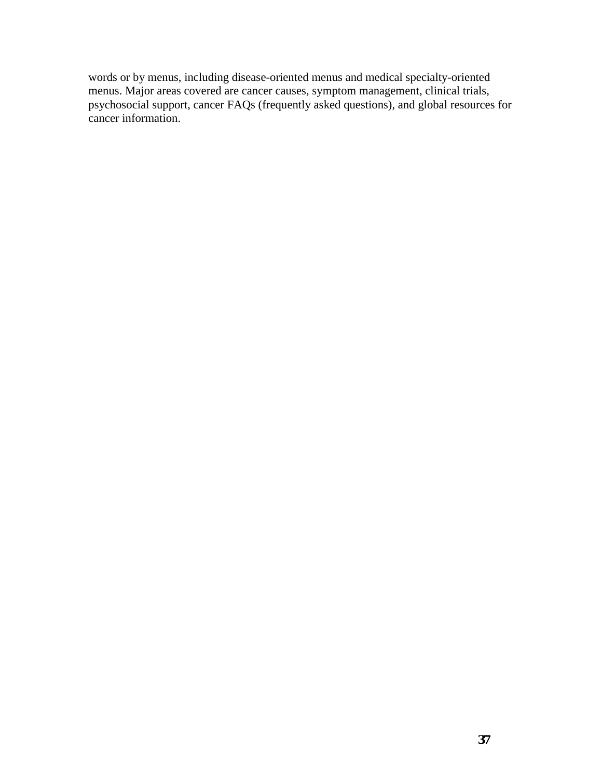words or by menus, including disease-oriented menus and medical specialty-oriented menus. Major areas covered are cancer causes, symptom management, clinical trials, psychosocial support, cancer FAQs (frequently asked questions), and global resources for cancer information.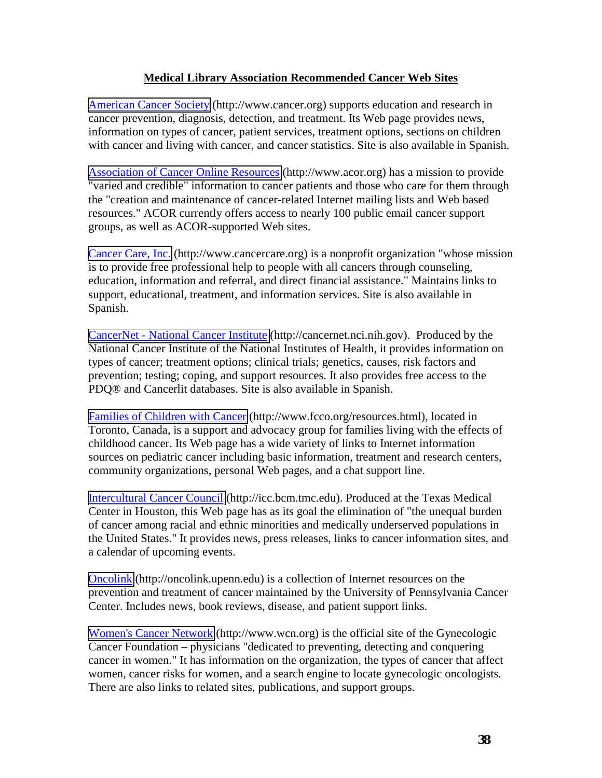#### **Medical Library Association Recommended Cancer Web Sites**

[American Cancer Society](http://www.cancer.org/) (http://www.cancer.org) supports education and research in cancer prevention, diagnosis, detection, and treatment. Its Web page provides news, information on types of cancer, patient services, treatment options, sections on children with cancer and living with cancer, and cancer statistics. Site is also available in Spanish.

[Association of Cancer Online Resources](http://www.acor.org/) (http://www.acor.org) has a mission to provide "varied and credible" information to cancer patients and those who care for them through the "creation and maintenance of cancer-related Internet mailing lists and Web based resources." ACOR currently offers access to nearly 100 public email cancer support groups, as well as ACOR-supported Web sites.

[Cancer Care, Inc.](http://www.cancercare.org/) (http://www.cancercare.org) is a nonprofit organization "whose mission is to provide free professional help to people with all cancers through counseling, education, information and referral, and direct financial assistance." Maintains links to support, educational, treatment, and information services. Site is also available in Spanish.

[CancerNet - National Cancer Institute](http://cancernet.nci.nih.gov/) (http://cancernet.nci.nih.gov). Produced by the National Cancer Institute of the National Institutes of Health, it provides information on types of cancer; treatment options; clinical trials; genetics, causes, risk factors and prevention; testing; coping, and support resources. It also provides free access to the PDQ® and Cancerlit databases. Site is also available in Spanish.

[Families of Children with Cancer](http://www.fcco.org/resources.html) (http://www.fcco.org/resources.html), located in Toronto, Canada, is a support and advocacy group for families living with the effects of childhood cancer. Its Web page has a wide variety of links to Internet information sources on pediatric cancer including basic information, treatment and research centers, community organizations, personal Web pages, and a chat support line.

[Intercultural Cancer Council](http://icc.bcm.tmc.edu/) (http://icc.bcm.tmc.edu). Produced at the Texas Medical Center in Houston, this Web page has as its goal the elimination of "the unequal burden of cancer among racial and ethnic minorities and medically underserved populations in the United States." It provides news, press releases, links to cancer information sites, and a calendar of upcoming events.

[Oncolink](http://oncolink.upenn.edu/) (http://oncolink.upenn.edu) is a collection of Internet resources on the prevention and treatment of cancer maintained by the University of Pennsylvania Cancer Center. Includes news, book reviews, disease, and patient support links.

[Women's Cancer Network](http://www.wcn.org/) (http://www.wcn.org) is the official site of the Gynecologic Cancer Foundation *–* physicians "dedicated to preventing, detecting and conquering cancer in women." It has information on the organization, the types of cancer that affect women, cancer risks for women, and a search engine to locate gynecologic oncologists. There are also links to related sites, publications, and support groups.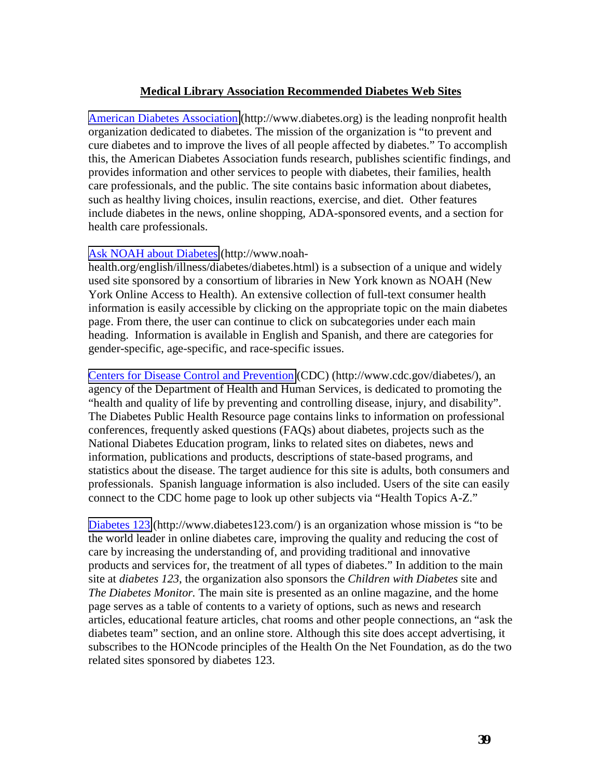#### **Medical Library Association Recommended Diabetes Web Sites**

[American Diabetes Association](http://www.diabetes.org/) (http://www.diabetes.org) is the leading nonprofit health organization dedicated to diabetes. The mission of the organization is "to prevent and cure diabetes and to improve the lives of all people affected by diabetes." To accomplish this, the American Diabetes Association funds research, publishes scientific findings, and provides information and other services to people with diabetes, their families, health care professionals, and the public. The site contains basic information about diabetes, such as healthy living choices, insulin reactions, exercise, and diet. Other features include diabetes in the news, online shopping, ADA-sponsored events, and a section for health care professionals.

#### [Ask NOAH about Diabetes](http://www.noah-health.org/english/illness/diabetes/diabetes.html) (http://www.noah-

health.org/english/illness/diabetes/diabetes.html) is a subsection of a unique and widely used site sponsored by a consortium of libraries in New York known as NOAH (New York Online Access to Health). An extensive collection of full-text consumer health information is easily accessible by clicking on the appropriate topic on the main diabetes page. From there, the user can continue to click on subcategories under each main heading. Information is available in English and Spanish, and there are categories for gender-specific, age-specific, and race-specific issues.

[Centers for Disease Control and Prevention](http://www.cdc.gov/diabetes/) (CDC) (http://www.cdc.gov/diabetes/), an agency of the Department of Health and Human Services, is dedicated to promoting the "health and quality of life by preventing and controlling disease, injury, and disability". The Diabetes Public Health Resource page contains links to information on professional conferences, frequently asked questions (FAQs) about diabetes, projects such as the National Diabetes Education program, links to related sites on diabetes, news and information, publications and products, descriptions of state-based programs, and statistics about the disease. The target audience for this site is adults, both consumers and professionals. Spanish language information is also included. Users of the site can easily connect to the CDC home page to look up other subjects via "Health Topics A-Z."

[Diabetes 123](http://www.diabetes123.com/) (http://www.diabetes123.com/) is an organization whose mission is "to be the world leader in online diabetes care, improving the quality and reducing the cost of care by increasing the understanding of, and providing traditional and innovative products and services for, the treatment of all types of diabetes." In addition to the main site at *diabetes 123*, the organization also sponsors the *Children with Diabetes* site and *The Diabetes Monitor.* The main site is presented as an online magazine, and the home page serves as a table of contents to a variety of options, such as news and research articles, educational feature articles, chat rooms and other people connections, an "ask the diabetes team" section, and an online store. Although this site does accept advertising, it subscribes to the HONcode principles of the Health On the Net Foundation, as do the two related sites sponsored by diabetes 123.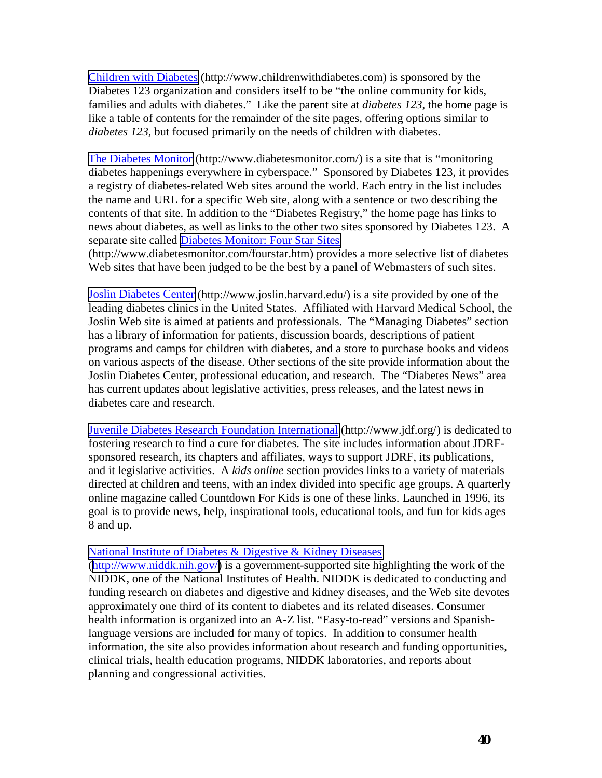[Children with Diabetes](http://www.childrenwithdiabetes.com/) (http://www.childrenwithdiabetes.com) is sponsored by the Diabetes 123 organization and considers itself to be "the online community for kids, families and adults with diabetes." Like the parent site at *diabetes 123*, the home page is like a table of contents for the remainder of the site pages, offering options similar to *diabetes 123,* but focused primarily on the needs of children with diabetes.

[The Diabetes Monitor](http://www.diabetesmonitor.com/) (http://www.diabetesmonitor.com/) is a site that is "monitoring diabetes happenings everywhere in cyberspace." Sponsored by Diabetes 123, it provides a registry of diabetes-related Web sites around the world. Each entry in the list includes the name and URL for a specific Web site, along with a sentence or two describing the contents of that site. In addition to the "Diabetes Registry," the home page has links to news about diabetes, as well as links to the other two sites sponsored by Diabetes 123. A separate site called [Diabetes Monitor: Four Star Sites](http://www.diabetesmonitor.com/fourstar.htm)

(http://www.diabetesmonitor.com/fourstar.htm) provides a more selective list of diabetes Web sites that have been judged to be the best by a panel of Webmasters of such sites.

[Joslin Diabetes Center](http://www.joslin.harvard.edu/) (http://www.joslin.harvard.edu/) is a site provided by one of the leading diabetes clinics in the United States. Affiliated with Harvard Medical School, the Joslin Web site is aimed at patients and professionals. The "Managing Diabetes" section has a library of information for patients, discussion boards, descriptions of patient programs and camps for children with diabetes, and a store to purchase books and videos on various aspects of the disease. Other sections of the site provide information about the Joslin Diabetes Center, professional education, and research. The "Diabetes News" area has current updates about legislative activities, press releases, and the latest news in diabetes care and research.

[Juvenile Diabetes Research Foundation International](http://www.jdf.org/) (http://www.jdf.org/) is dedicated to fostering research to find a cure for diabetes. The site includes information about JDRFsponsored research, its chapters and affiliates, ways to support JDRF, its publications, and it legislative activities. A *kids online* section provides links to a variety of materials directed at children and teens, with an index divided into specific age groups. A quarterly online magazine called Countdown For Kids is one of these links. Launched in 1996, its goal is to provide news, help, inspirational tools, educational tools, and fun for kids ages 8 and up.

#### [National Institute of Diabetes & Digestive & Kidney Diseases](http://www.niddk.nih.gov/)

([http://www.niddk.nih.gov/\)](http://www.niddk.nih.gov/) is a government-supported site highlighting the work of the NIDDK, one of the National Institutes of Health. NIDDK is dedicated to conducting and funding research on diabetes and digestive and kidney diseases, and the Web site devotes approximately one third of its content to diabetes and its related diseases. Consumer health information is organized into an A-Z list. "Easy-to-read" versions and Spanishlanguage versions are included for many of topics. In addition to consumer health information, the site also provides information about research and funding opportunities, clinical trials, health education programs, NIDDK laboratories, and reports about planning and congressional activities.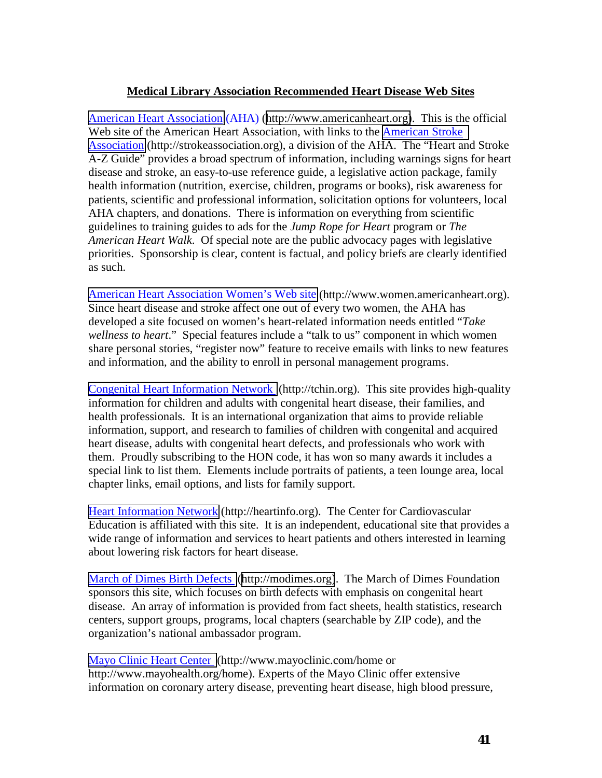#### **Medical Library Association Recommended Heart Disease Web Sites**

[American Heart Association](http://www.americanheart.org/) (AHA) ([http://www.americanheart.org\)](http://www.americanheart.org/). This is the official Web site of the American Heart Association, with links to the [American Stroke](http://strokeassociation.org/)  [Association](http://strokeassociation.org/) (http://strokeassociation.org), a division of the AHA. The "Heart and Stroke A-Z Guide" provides a broad spectrum of information, including warnings signs for heart disease and stroke, an easy-to-use reference guide, a legislative action package, family health information (nutrition, exercise, children, programs or books), risk awareness for patients, scientific and professional information, solicitation options for volunteers, local AHA chapters, and donations. There is information on everything from scientific guidelines to training guides to ads for the *Jump Rope for Heart* program or *The American Heart Walk*. Of special note are the public advocacy pages with legislative priorities. Sponsorship is clear, content is factual, and policy briefs are clearly identified as such.

[American Heart Association Women's Web site](http://www.women.americanheart.org/) (http://www.women.americanheart.org). Since heart disease and stroke affect one out of every two women, the AHA has developed a site focused on women's heart-related information needs entitled "*Take wellness to heart*." Special features include a "talk to us" component in which women share personal stories, "register now" feature to receive emails with links to new features and information, and the ability to enroll in personal management programs.

[Congenital Heart Information Network](http://tchin.org/) (http://tchin.org). This site provides high-quality information for children and adults with congenital heart disease, their families, and health professionals. It is an international organization that aims to provide reliable information, support, and research to families of children with congenital and acquired heart disease, adults with congenital heart defects, and professionals who work with them. Proudly subscribing to the HON code, it has won so many awards it includes a special link to list them. Elements include portraits of patients, a teen lounge area, local chapter links, email options, and lists for family support.

[Heart Information Network](http://heartinfo.org/) (http://heartinfo.org). The Center for Cardiovascular Education is affiliated with this site. It is an independent, educational site that provides a wide range of information and services to heart patients and others interested in learning about lowering risk factors for heart disease.

[March of Dimes Birth Defects](http://modimes.org/) ([http://modimes.org\)](http://modimes.org/). The March of Dimes Foundation sponsors this site, which focuses on birth defects with emphasis on congenital heart disease. An array of information is provided from fact sheets, health statistics, research centers, support groups, programs, local chapters (searchable by ZIP code), and the organization's national ambassador program.

[Mayo Clinic Heart Center](http://www.mayoclinic.com/home) (http://www.mayoclinic.com/home or http://www.mayohealth.org/home). Experts of the Mayo Clinic offer extensive information on coronary artery disease, preventing heart disease, high blood pressure,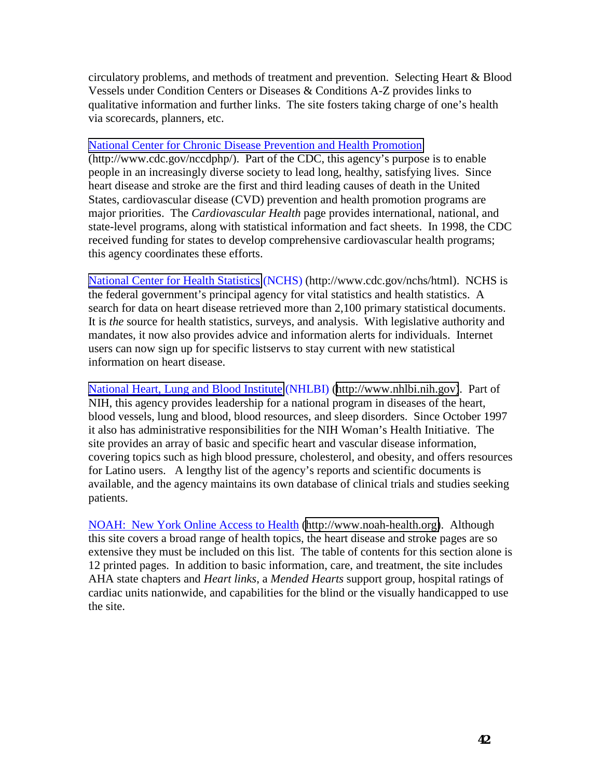circulatory problems, and methods of treatment and prevention. Selecting Heart & Blood Vessels under Condition Centers or Diseases & Conditions A-Z provides links to qualitative information and further links. The site fosters taking charge of one's health via scorecards, planners, etc.

#### [National Center for Chronic Disease Prevention and Health Promotion](http://www.cdc.gov/nccdphp/)

(http://www.cdc.gov/nccdphp/). Part of the CDC, this agency's purpose is to enable people in an increasingly diverse society to lead long, healthy, satisfying lives. Since heart disease and stroke are the first and third leading causes of death in the United States, cardiovascular disease (CVD) prevention and health promotion programs are major priorities. The *Cardiovascular Health* page provides international, national, and state-level programs, along with statistical information and fact sheets. In 1998, the CDC received funding for states to develop comprehensive cardiovascular health programs; this agency coordinates these efforts.

[National Center for Health Statistics](http://www.cdc.gov/nchs/html) (NCHS) (http://www.cdc.gov/nchs/html). NCHS is the federal government's principal agency for vital statistics and health statistics. A search for data on heart disease retrieved more than 2,100 primary statistical documents. It is *the* source for health statistics, surveys, and analysis. With legislative authority and mandates, it now also provides advice and information alerts for individuals. Internet users can now sign up for specific listservs to stay current with new statistical information on heart disease.

[National Heart, Lung and Blood Institute](http://www.nhlbi.nih.gov/) (NHLBI) ([http://www.nhlbi.nih.gov\)](http://www.nhlbi.nih.gov/). Part of NIH, this agency provides leadership for a national program in diseases of the heart, blood vessels, lung and blood, blood resources, and sleep disorders. Since October 1997 it also has administrative responsibilities for the NIH Woman's Health Initiative. The site provides an array of basic and specific heart and vascular disease information, covering topics such as high blood pressure, cholesterol, and obesity, and offers resources for Latino users. A lengthy list of the agency's reports and scientific documents is available, and the agency maintains its own database of clinical trials and studies seeking patients.

NOAH: New York Online Access to Health [\(http://www.noah-health.org\)](http://www.noah-health.org/). Although this site covers a broad range of health topics, the heart disease and stroke pages are so extensive they must be included on this list. The table of contents for this section alone is 12 printed pages. In addition to basic information, care, and treatment, the site includes AHA state chapters and *Heart links*, a *Mended Hearts* support group, hospital ratings of cardiac units nationwide, and capabilities for the blind or the visually handicapped to use the site.